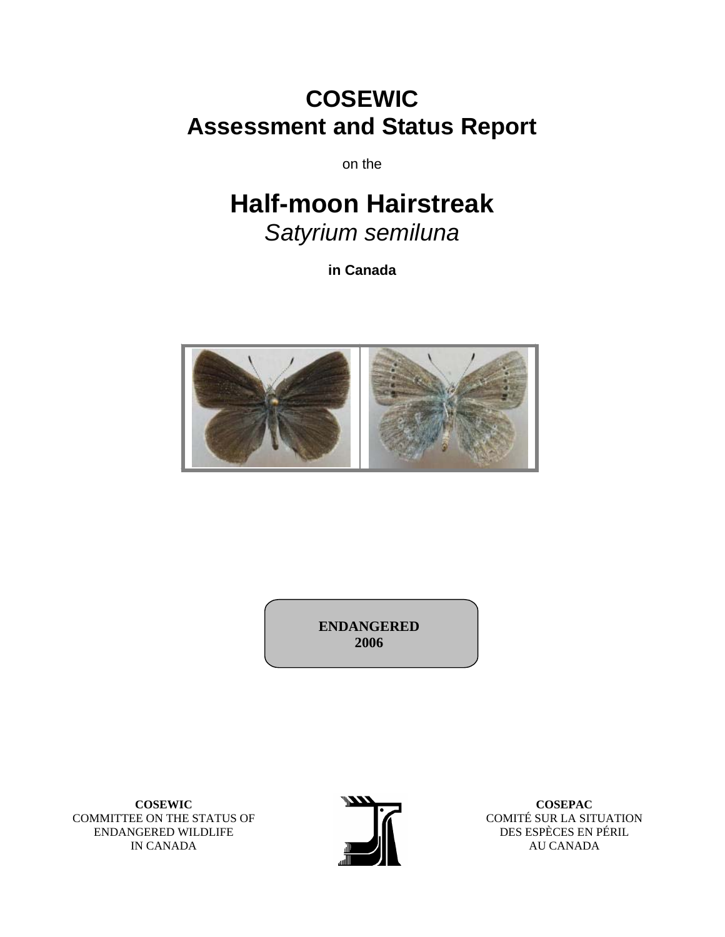# **COSEWIC Assessment and Status Report**

on the

# **Half-moon Hairstreak**

*Satyrium semiluna* 

**in Canada** 



**ENDANGERED 2006** 

**COSEWIC**  COMMITTEE ON THE STATUS OF ENDANGERED WILDLIFE IN CANADA



**COSEPAC**  COMITÉ SUR LA SITUATION DES ESPÈCES EN PÉRIL AU CANADA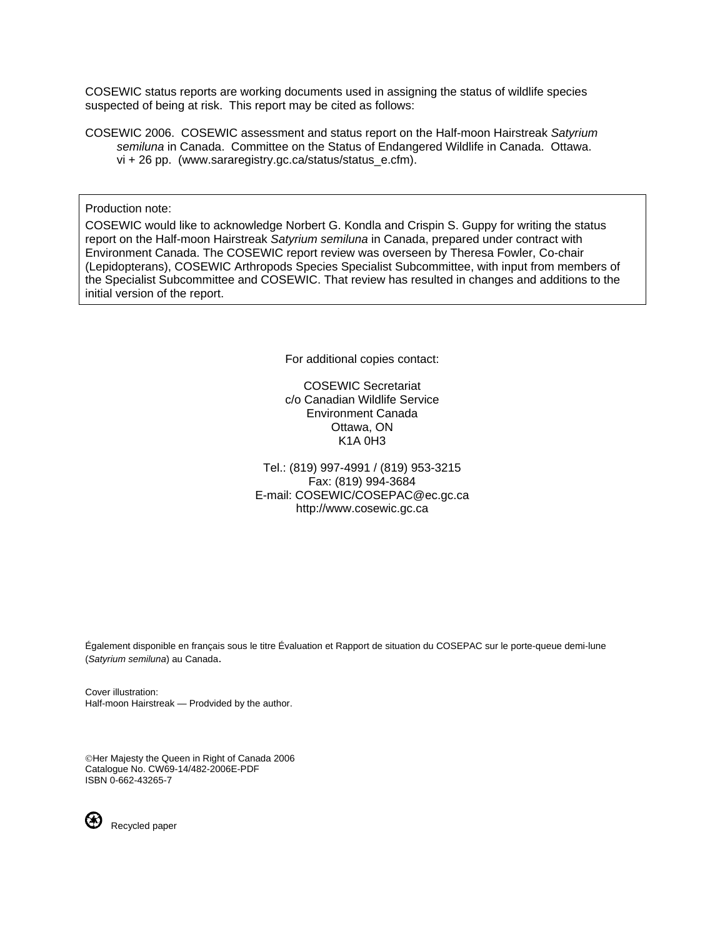COSEWIC status reports are working documents used in assigning the status of wildlife species suspected of being at risk. This report may be cited as follows:

COSEWIC 2006. COSEWIC assessment and status report on the Half-moon Hairstreak *Satyrium semiluna* in Canada. Committee on the Status of Endangered Wildlife in Canada. Ottawa. vi + 26 pp. (www.sararegistry.gc.ca/status/status\_e.cfm).

Production note:

COSEWIC would like to acknowledge Norbert G. Kondla and Crispin S. Guppy for writing the status report on the Half-moon Hairstreak *Satyrium semiluna* in Canada, prepared under contract with Environment Canada. The COSEWIC report review was overseen by Theresa Fowler, Co-chair (Lepidopterans), COSEWIC Arthropods Species Specialist Subcommittee, with input from members of the Specialist Subcommittee and COSEWIC. That review has resulted in changes and additions to the initial version of the report.

For additional copies contact:

COSEWIC Secretariat c/o Canadian Wildlife Service Environment Canada Ottawa, ON K1A 0H3

Tel.: (819) 997-4991 / (819) 953-3215 Fax: (819) 994-3684 E-mail: COSEWIC/COSEPAC@ec.gc.ca http://www.cosewic.gc.ca

Également disponible en français sous le titre Évaluation et Rapport de situation du COSEPAC sur le porte-queue demi-lune (*Satyrium semiluna*) au Canada.

Cover illustration: Half-moon Hairstreak — Prodvided by the author.

©Her Majesty the Queen in Right of Canada 2006 Catalogue No. CW69-14/482-2006E-PDF ISBN 0-662-43265-7



Recycled paper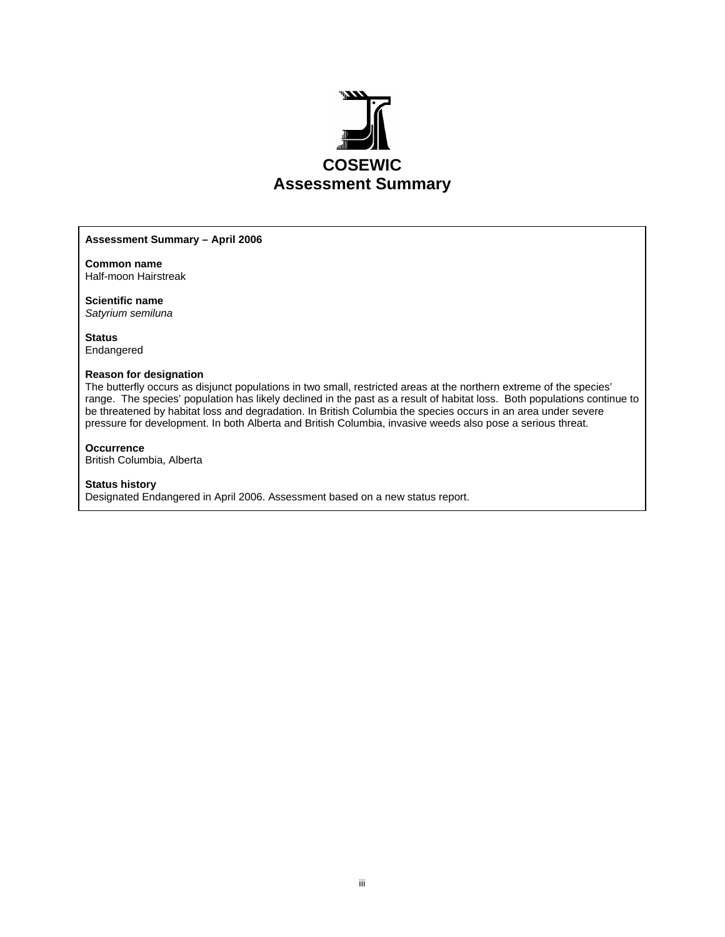

#### **Assessment Summary – April 2006**

**Common name** Half-moon Hairstreak

**Scientific name**  *Satyrium semiluna* 

**Status**  Endangered

#### **Reason for designation**

The butterfly occurs as disjunct populations in two small, restricted areas at the northern extreme of the species' range. The species' population has likely declined in the past as a result of habitat loss. Both populations continue to be threatened by habitat loss and degradation. In British Columbia the species occurs in an area under severe pressure for development. In both Alberta and British Columbia, invasive weeds also pose a serious threat.

#### **Occurrence**

British Columbia, Alberta

#### **Status history**

Designated Endangered in April 2006. Assessment based on a new status report.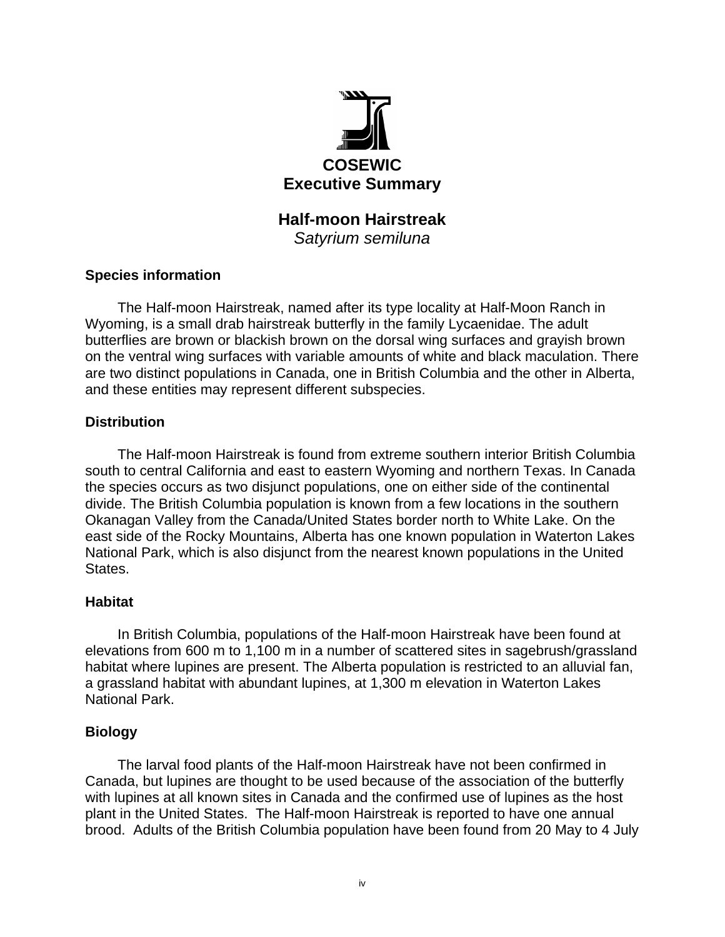

### **Half-moon Hairstreak**  *Satyrium semiluna*

#### **Species information**

The Half-moon Hairstreak, named after its type locality at Half-Moon Ranch in Wyoming, is a small drab hairstreak butterfly in the family Lycaenidae. The adult butterflies are brown or blackish brown on the dorsal wing surfaces and grayish brown on the ventral wing surfaces with variable amounts of white and black maculation. There are two distinct populations in Canada, one in British Columbia and the other in Alberta, and these entities may represent different subspecies.

#### **Distribution**

The Half-moon Hairstreak is found from extreme southern interior British Columbia south to central California and east to eastern Wyoming and northern Texas. In Canada the species occurs as two disjunct populations, one on either side of the continental divide. The British Columbia population is known from a few locations in the southern Okanagan Valley from the Canada/United States border north to White Lake. On the east side of the Rocky Mountains, Alberta has one known population in Waterton Lakes National Park, which is also disjunct from the nearest known populations in the United States.

#### **Habitat**

In British Columbia, populations of the Half-moon Hairstreak have been found at elevations from 600 m to 1,100 m in a number of scattered sites in sagebrush/grassland habitat where lupines are present. The Alberta population is restricted to an alluvial fan, a grassland habitat with abundant lupines, at 1,300 m elevation in Waterton Lakes National Park.

#### **Biology**

The larval food plants of the Half-moon Hairstreak have not been confirmed in Canada, but lupines are thought to be used because of the association of the butterfly with lupines at all known sites in Canada and the confirmed use of lupines as the host plant in the United States. The Half-moon Hairstreak is reported to have one annual brood. Adults of the British Columbia population have been found from 20 May to 4 July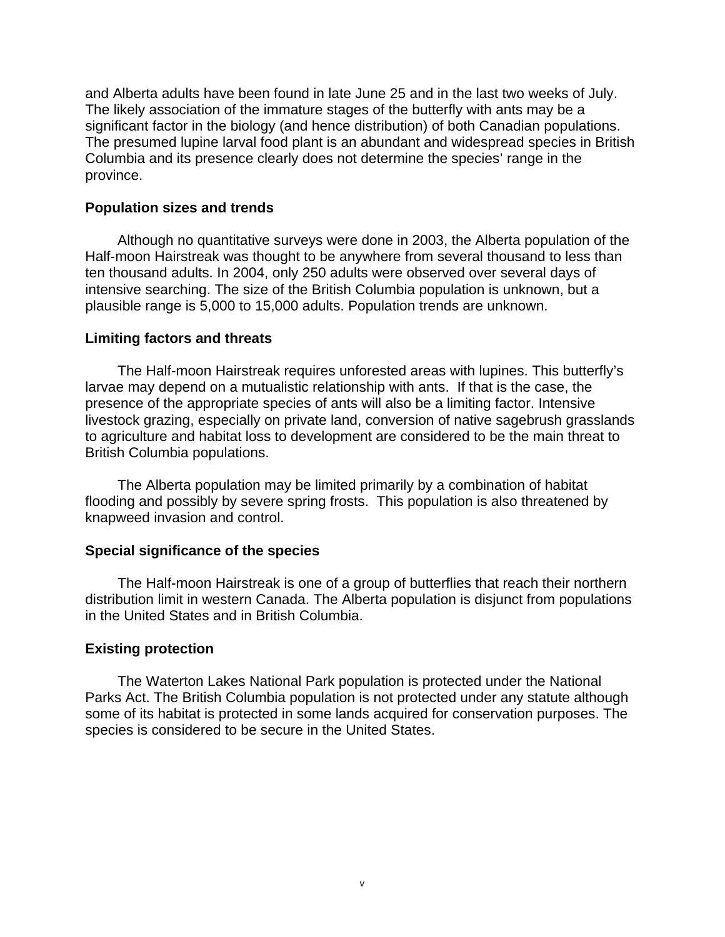and Alberta adults have been found in late June 25 and in the last two weeks of July. The likely association of the immature stages of the butterfly with ants may be a significant factor in the biology (and hence distribution) of both Canadian populations. The presumed lupine larval food plant is an abundant and widespread species in British Columbia and its presence clearly does not determine the species' range in the province.

#### **Population sizes and trends**

Although no quantitative surveys were done in 2003, the Alberta population of the Half-moon Hairstreak was thought to be anywhere from several thousand to less than ten thousand adults. In 2004, only 250 adults were observed over several days of intensive searching. The size of the British Columbia population is unknown, but a plausible range is 5,000 to 15,000 adults. Population trends are unknown.

#### **Limiting factors and threats**

The Half-moon Hairstreak requires unforested areas with lupines. This butterfly's larvae may depend on a mutualistic relationship with ants. If that is the case, the presence of the appropriate species of ants will also be a limiting factor. Intensive livestock grazing, especially on private land, conversion of native sagebrush grasslands to agriculture and habitat loss to development are considered to be the main threat to British Columbia populations.

The Alberta population may be limited primarily by a combination of habitat flooding and possibly by severe spring frosts. This population is also threatened by knapweed invasion and control.

#### **Special significance of the species**

The Half-moon Hairstreak is one of a group of butterflies that reach their northern distribution limit in western Canada. The Alberta population is disjunct from populations in the United States and in British Columbia.

#### **Existing protection**

The Waterton Lakes National Park population is protected under the National Parks Act. The British Columbia population is not protected under any statute although some of its habitat is protected in some lands acquired for conservation purposes. The species is considered to be secure in the United States.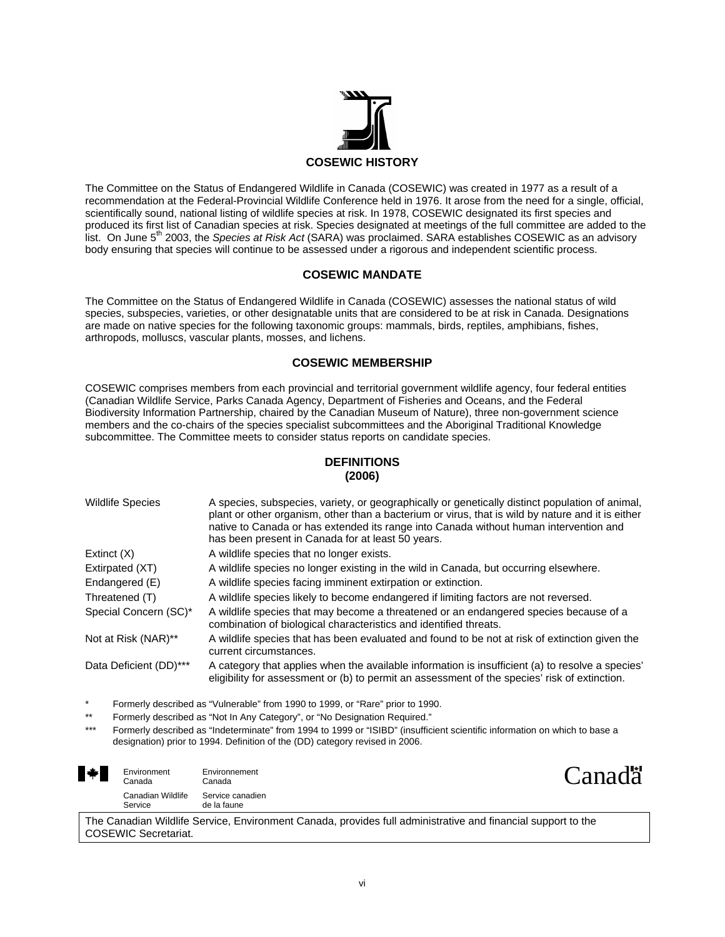

The Committee on the Status of Endangered Wildlife in Canada (COSEWIC) was created in 1977 as a result of a recommendation at the Federal-Provincial Wildlife Conference held in 1976. It arose from the need for a single, official, scientifically sound, national listing of wildlife species at risk. In 1978, COSEWIC designated its first species and produced its first list of Canadian species at risk. Species designated at meetings of the full committee are added to the list. On June 5th 2003, the *Species at Risk Act* (SARA) was proclaimed. SARA establishes COSEWIC as an advisory body ensuring that species will continue to be assessed under a rigorous and independent scientific process.

#### **COSEWIC MANDATE**

The Committee on the Status of Endangered Wildlife in Canada (COSEWIC) assesses the national status of wild species, subspecies, varieties, or other designatable units that are considered to be at risk in Canada. Designations are made on native species for the following taxonomic groups: mammals, birds, reptiles, amphibians, fishes, arthropods, molluscs, vascular plants, mosses, and lichens.

#### **COSEWIC MEMBERSHIP**

COSEWIC comprises members from each provincial and territorial government wildlife agency, four federal entities (Canadian Wildlife Service, Parks Canada Agency, Department of Fisheries and Oceans, and the Federal Biodiversity Information Partnership, chaired by the Canadian Museum of Nature), three non-government science members and the co-chairs of the species specialist subcommittees and the Aboriginal Traditional Knowledge subcommittee. The Committee meets to consider status reports on candidate species.

#### **DEFINITIONS (2006)**

| <b>Wildlife Species</b> | A species, subspecies, variety, or geographically or genetically distinct population of animal,<br>plant or other organism, other than a bacterium or virus, that is wild by nature and it is either<br>native to Canada or has extended its range into Canada without human intervention and<br>has been present in Canada for at least 50 years. |
|-------------------------|----------------------------------------------------------------------------------------------------------------------------------------------------------------------------------------------------------------------------------------------------------------------------------------------------------------------------------------------------|
| Extinct $(X)$           | A wildlife species that no longer exists.                                                                                                                                                                                                                                                                                                          |
| Extirpated (XT)         | A wildlife species no longer existing in the wild in Canada, but occurring elsewhere.                                                                                                                                                                                                                                                              |
| Endangered (E)          | A wildlife species facing imminent extirpation or extinction.                                                                                                                                                                                                                                                                                      |
| Threatened (T)          | A wildlife species likely to become endangered if limiting factors are not reversed.                                                                                                                                                                                                                                                               |
| Special Concern (SC)*   | A wildlife species that may become a threatened or an endangered species because of a<br>combination of biological characteristics and identified threats.                                                                                                                                                                                         |
| Not at Risk (NAR)**     | A wildlife species that has been evaluated and found to be not at risk of extinction given the<br>current circumstances.                                                                                                                                                                                                                           |
| Data Deficient (DD)***  | A category that applies when the available information is insufficient (a) to resolve a species'<br>eligibility for assessment or (b) to permit an assessment of the species' risk of extinction.                                                                                                                                                  |

Formerly described as "Vulnerable" from 1990 to 1999, or "Rare" prior to 1990.

Formerly described as "Not In Any Category", or "No Designation Required."

Formerly described as "Indeterminate" from 1994 to 1999 or "ISIBD" (insufficient scientific information on which to base a designation) prior to 1994. Definition of the (DD) category revised in 2006.

| ▚⋡ | Environment<br>Canada        | Environnement<br>Canada         | Canada <sup>"</sup> |
|----|------------------------------|---------------------------------|---------------------|
|    | Canadian Wildlife<br>Service | Service canadien<br>de la faune |                     |

The Canadian Wildlife Service, Environment Canada, provides full administrative and financial support to the COSEWIC Secretariat.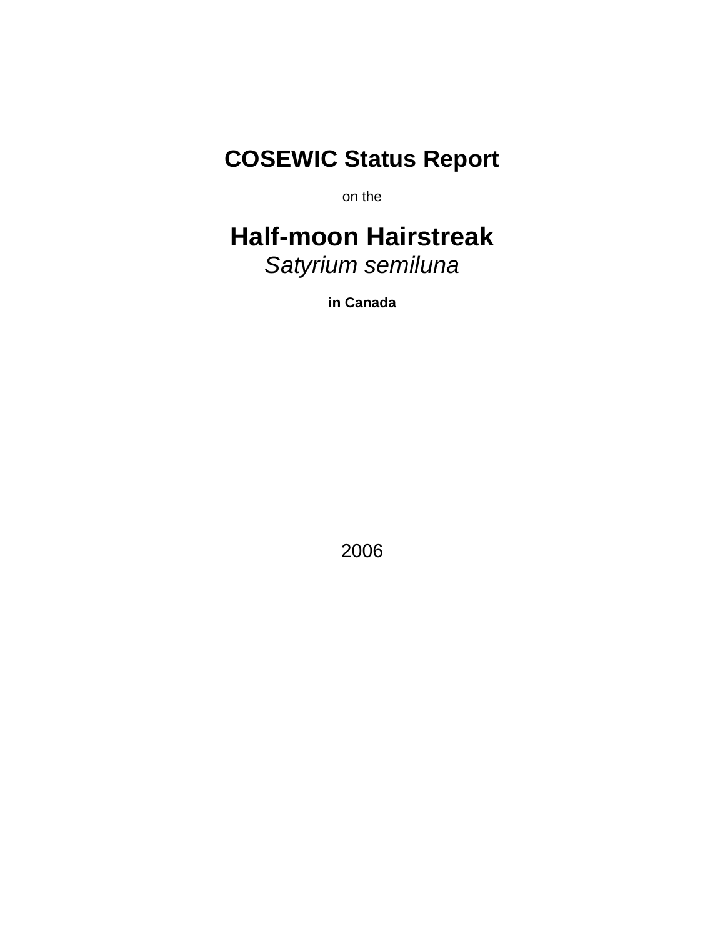# **COSEWIC Status Report**

on the

# **Half-moon Hairstreak**  *Satyrium semiluna*

**in Canada** 

2006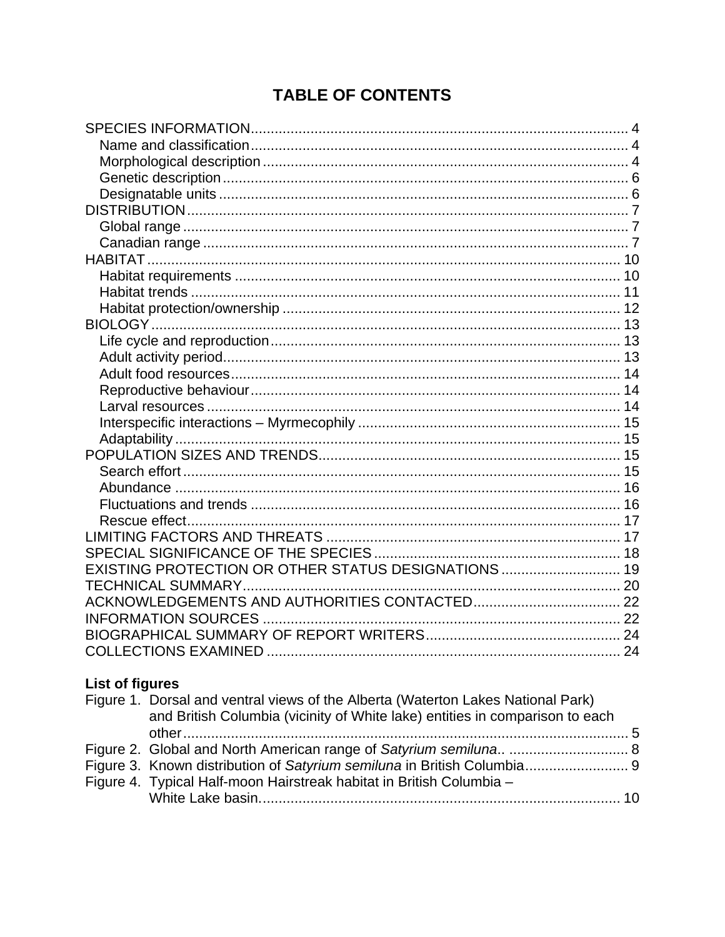## **TABLE OF CONTENTS**

| EXISTING PROTECTION OR OTHER STATUS DESIGNATIONS  19 |  |
|------------------------------------------------------|--|
|                                                      |  |
|                                                      |  |
|                                                      |  |
|                                                      |  |
|                                                      |  |

### **List of figures**

| Figure 1. Dorsal and ventral views of the Alberta (Waterton Lakes National Park) |  |
|----------------------------------------------------------------------------------|--|
| and British Columbia (vicinity of White lake) entities in comparison to each     |  |
|                                                                                  |  |
|                                                                                  |  |
|                                                                                  |  |
| Figure 4. Typical Half-moon Hairstreak habitat in British Columbia -             |  |
|                                                                                  |  |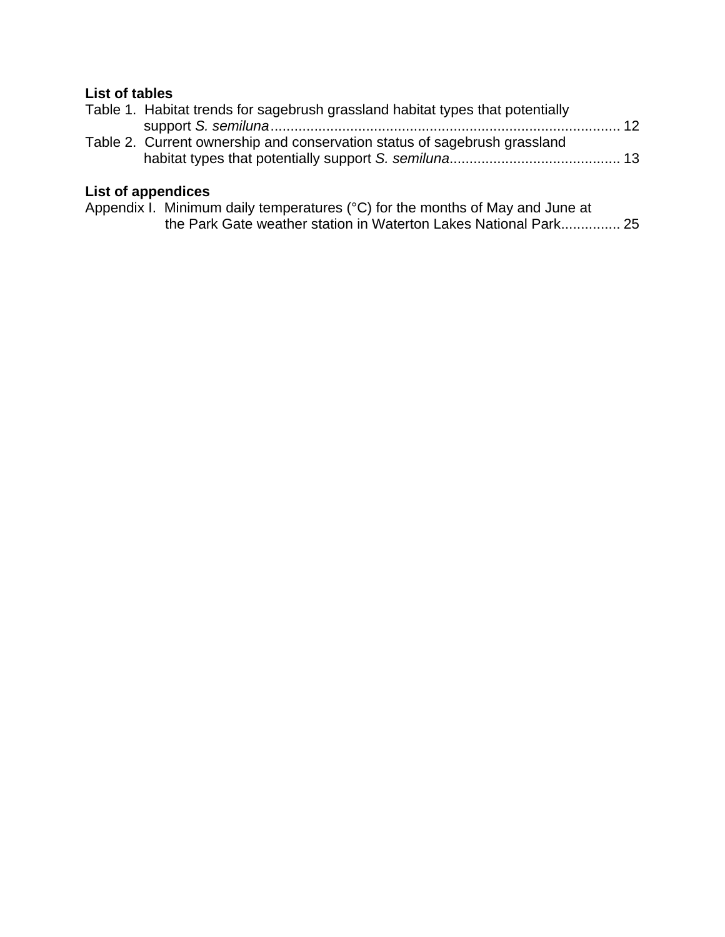### **List of tables**

| Table 1. Habitat trends for sagebrush grassland habitat types that potentially |  |
|--------------------------------------------------------------------------------|--|
|                                                                                |  |
| Table 2. Current ownership and conservation status of sagebrush grassland      |  |
|                                                                                |  |
|                                                                                |  |

### **List of appendices**

| Appendix I. Minimum daily temperatures (°C) for the months of May and June at |
|-------------------------------------------------------------------------------|
| the Park Gate weather station in Waterton Lakes National Park 25              |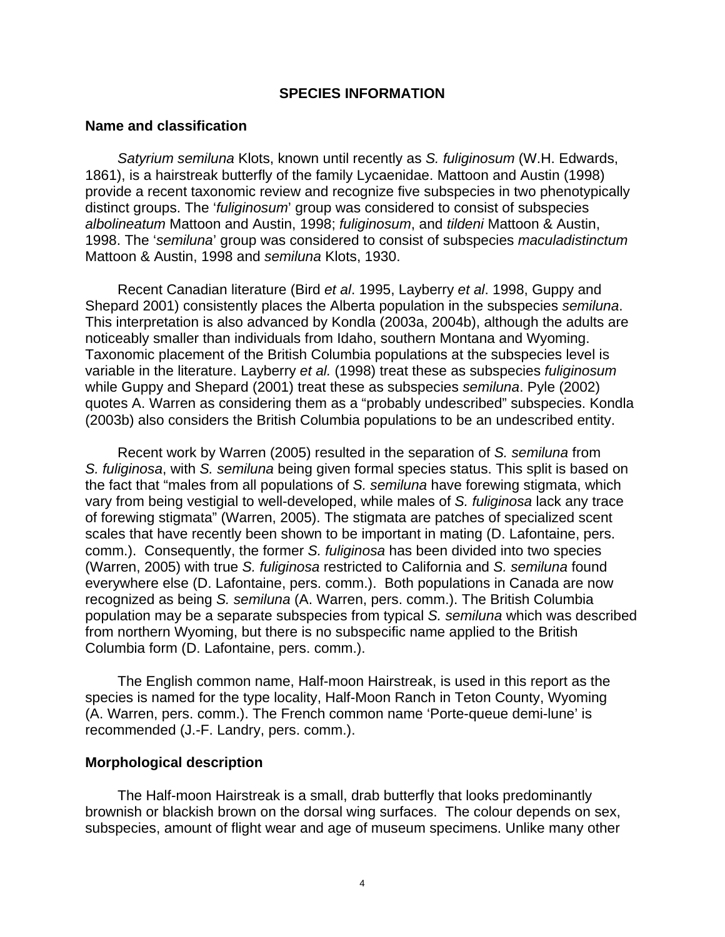#### **SPECIES INFORMATION**

#### **Name and classification**

*Satyrium semiluna* Klots, known until recently as *S. fuliginosum* (W.H. Edwards, 1861), is a hairstreak butterfly of the family Lycaenidae. Mattoon and Austin (1998) provide a recent taxonomic review and recognize five subspecies in two phenotypically distinct groups. The '*fuliginosum*' group was considered to consist of subspecies *albolineatum* Mattoon and Austin, 1998; *fuliginosum*, and *tildeni* Mattoon & Austin, 1998. The '*semiluna*' group was considered to consist of subspecies *maculadistinctum* Mattoon & Austin, 1998 and *semiluna* Klots, 1930.

Recent Canadian literature (Bird *et al*. 1995, Layberry *et al*. 1998, Guppy and Shepard 2001) consistently places the Alberta population in the subspecies *semiluna*. This interpretation is also advanced by Kondla (2003a, 2004b), although the adults are noticeably smaller than individuals from Idaho, southern Montana and Wyoming. Taxonomic placement of the British Columbia populations at the subspecies level is variable in the literature. Layberry *et al.* (1998) treat these as subspecies *fuliginosum* while Guppy and Shepard (2001) treat these as subspecies *semiluna*. Pyle (2002) quotes A. Warren as considering them as a "probably undescribed" subspecies. Kondla (2003b) also considers the British Columbia populations to be an undescribed entity.

Recent work by Warren (2005) resulted in the separation of *S. semiluna* from *S. fuliginosa*, with *S. semiluna* being given formal species status. This split is based on the fact that "males from all populations of *S. semiluna* have forewing stigmata, which vary from being vestigial to well-developed, while males of *S. fuliginosa* lack any trace of forewing stigmata" (Warren, 2005). The stigmata are patches of specialized scent scales that have recently been shown to be important in mating (D. Lafontaine, pers. comm.). Consequently, the former *S. fuliginosa* has been divided into two species (Warren, 2005) with true *S. fuliginosa* restricted to California and *S. semiluna* found everywhere else (D. Lafontaine, pers. comm.). Both populations in Canada are now recognized as being *S. semiluna* (A. Warren, pers. comm.). The British Columbia population may be a separate subspecies from typical *S. semiluna* which was described from northern Wyoming, but there is no subspecific name applied to the British Columbia form (D. Lafontaine, pers. comm.).

The English common name, Half-moon Hairstreak, is used in this report as the species is named for the type locality, Half-Moon Ranch in Teton County, Wyoming (A. Warren, pers. comm.). The French common name 'Porte-queue demi-lune' is recommended (J.-F. Landry, pers. comm.).

#### **Morphological description**

The Half-moon Hairstreak is a small, drab butterfly that looks predominantly brownish or blackish brown on the dorsal wing surfaces. The colour depends on sex, subspecies, amount of flight wear and age of museum specimens. Unlike many other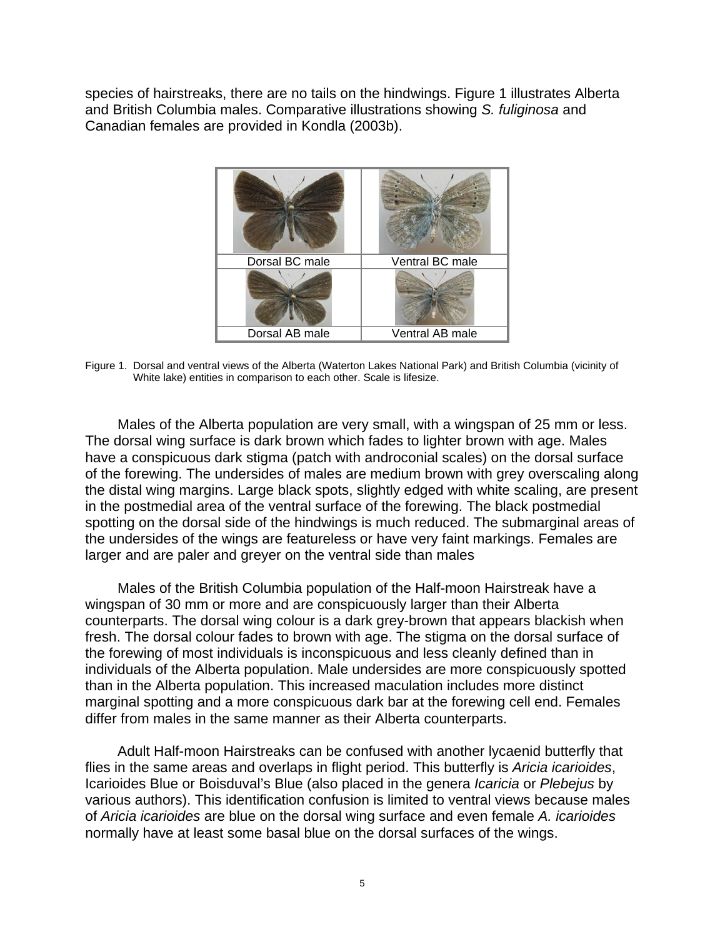species of hairstreaks, there are no tails on the hindwings. Figure 1 illustrates Alberta and British Columbia males. Comparative illustrations showing *S. fuliginosa* and Canadian females are provided in Kondla (2003b).



Figure 1. Dorsal and ventral views of the Alberta (Waterton Lakes National Park) and British Columbia (vicinity of White lake) entities in comparison to each other. Scale is lifesize.

Males of the Alberta population are very small, with a wingspan of 25 mm or less. The dorsal wing surface is dark brown which fades to lighter brown with age. Males have a conspicuous dark stigma (patch with androconial scales) on the dorsal surface of the forewing. The undersides of males are medium brown with grey overscaling along the distal wing margins. Large black spots, slightly edged with white scaling, are present in the postmedial area of the ventral surface of the forewing. The black postmedial spotting on the dorsal side of the hindwings is much reduced. The submarginal areas of the undersides of the wings are featureless or have very faint markings. Females are larger and are paler and greyer on the ventral side than males

Males of the British Columbia population of the Half-moon Hairstreak have a wingspan of 30 mm or more and are conspicuously larger than their Alberta counterparts. The dorsal wing colour is a dark grey-brown that appears blackish when fresh. The dorsal colour fades to brown with age. The stigma on the dorsal surface of the forewing of most individuals is inconspicuous and less cleanly defined than in individuals of the Alberta population. Male undersides are more conspicuously spotted than in the Alberta population. This increased maculation includes more distinct marginal spotting and a more conspicuous dark bar at the forewing cell end. Females differ from males in the same manner as their Alberta counterparts.

Adult Half-moon Hairstreaks can be confused with another lycaenid butterfly that flies in the same areas and overlaps in flight period. This butterfly is *Aricia icarioides*, Icarioides Blue or Boisduval's Blue (also placed in the genera *Icaricia* or *Plebejus* by various authors). This identification confusion is limited to ventral views because males of *Aricia icarioides* are blue on the dorsal wing surface and even female *A. icarioides* normally have at least some basal blue on the dorsal surfaces of the wings.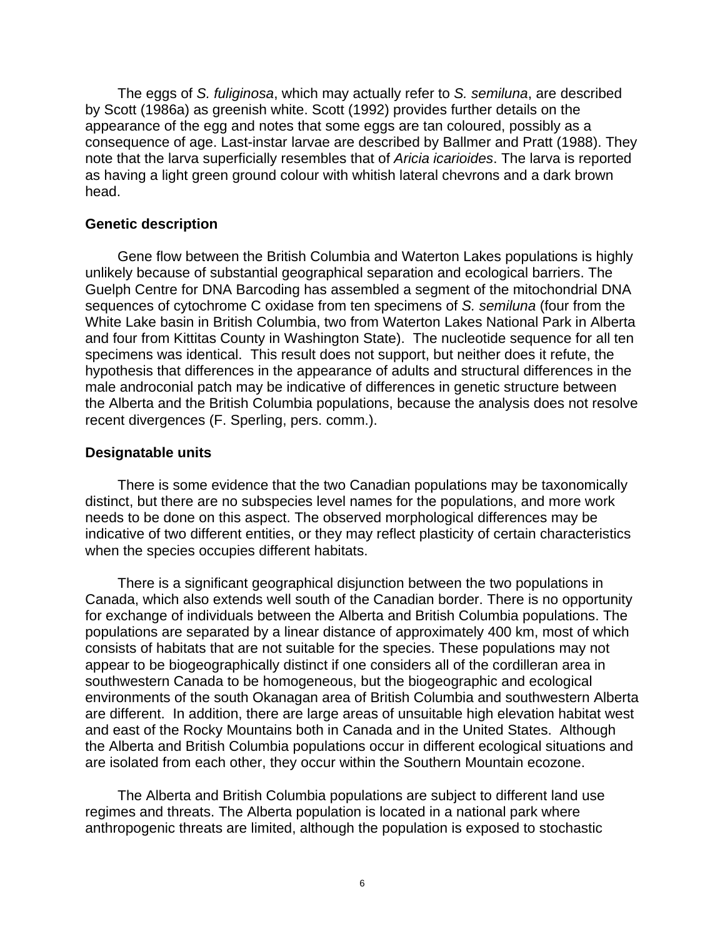The eggs of *S. fuliginosa*, which may actually refer to *S. semiluna*, are described by Scott (1986a) as greenish white. Scott (1992) provides further details on the appearance of the egg and notes that some eggs are tan coloured, possibly as a consequence of age. Last-instar larvae are described by Ballmer and Pratt (1988). They note that the larva superficially resembles that of *Aricia icarioides*. The larva is reported as having a light green ground colour with whitish lateral chevrons and a dark brown head.

#### **Genetic description**

Gene flow between the British Columbia and Waterton Lakes populations is highly unlikely because of substantial geographical separation and ecological barriers. The Guelph Centre for DNA Barcoding has assembled a segment of the mitochondrial DNA sequences of cytochrome C oxidase from ten specimens of *S. semiluna* (four from the White Lake basin in British Columbia, two from Waterton Lakes National Park in Alberta and four from Kittitas County in Washington State). The nucleotide sequence for all ten specimens was identical. This result does not support, but neither does it refute, the hypothesis that differences in the appearance of adults and structural differences in the male androconial patch may be indicative of differences in genetic structure between the Alberta and the British Columbia populations, because the analysis does not resolve recent divergences (F. Sperling, pers. comm.).

#### **Designatable units**

There is some evidence that the two Canadian populations may be taxonomically distinct, but there are no subspecies level names for the populations, and more work needs to be done on this aspect. The observed morphological differences may be indicative of two different entities, or they may reflect plasticity of certain characteristics when the species occupies different habitats.

There is a significant geographical disjunction between the two populations in Canada, which also extends well south of the Canadian border. There is no opportunity for exchange of individuals between the Alberta and British Columbia populations. The populations are separated by a linear distance of approximately 400 km, most of which consists of habitats that are not suitable for the species. These populations may not appear to be biogeographically distinct if one considers all of the cordilleran area in southwestern Canada to be homogeneous, but the biogeographic and ecological environments of the south Okanagan area of British Columbia and southwestern Alberta are different. In addition, there are large areas of unsuitable high elevation habitat west and east of the Rocky Mountains both in Canada and in the United States. Although the Alberta and British Columbia populations occur in different ecological situations and are isolated from each other, they occur within the Southern Mountain ecozone.

The Alberta and British Columbia populations are subject to different land use regimes and threats. The Alberta population is located in a national park where anthropogenic threats are limited, although the population is exposed to stochastic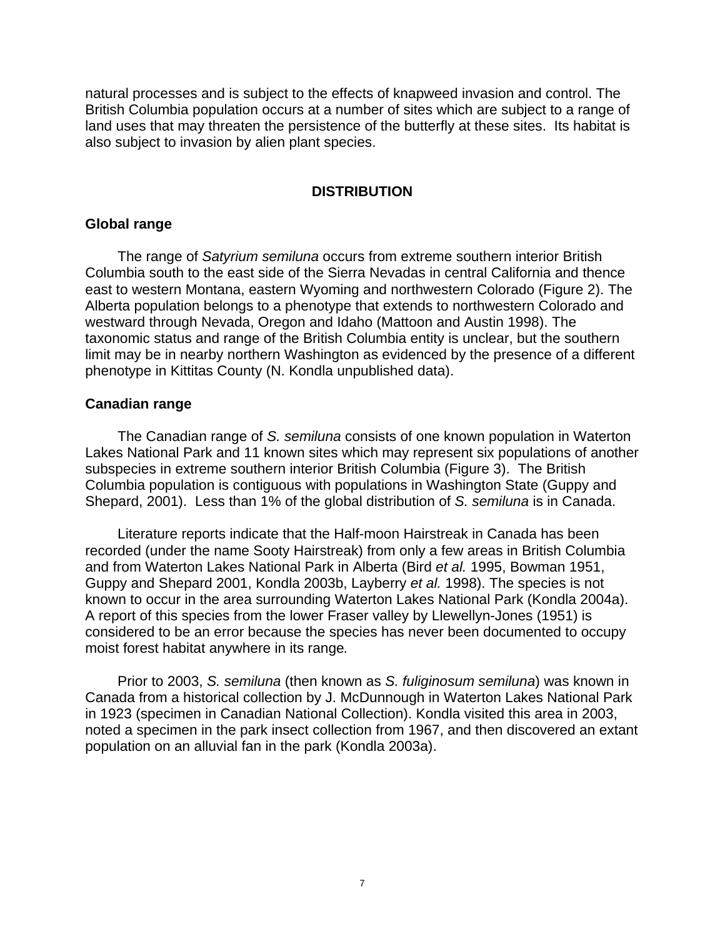natural processes and is subject to the effects of knapweed invasion and control. The British Columbia population occurs at a number of sites which are subject to a range of land uses that may threaten the persistence of the butterfly at these sites. Its habitat is also subject to invasion by alien plant species.

#### **DISTRIBUTION**

#### **Global range**

The range of *Satyrium semiluna* occurs from extreme southern interior British Columbia south to the east side of the Sierra Nevadas in central California and thence east to western Montana, eastern Wyoming and northwestern Colorado (Figure 2). The Alberta population belongs to a phenotype that extends to northwestern Colorado and westward through Nevada, Oregon and Idaho (Mattoon and Austin 1998). The taxonomic status and range of the British Columbia entity is unclear, but the southern limit may be in nearby northern Washington as evidenced by the presence of a different phenotype in Kittitas County (N. Kondla unpublished data).

#### **Canadian range**

The Canadian range of *S. semiluna* consists of one known population in Waterton Lakes National Park and 11 known sites which may represent six populations of another subspecies in extreme southern interior British Columbia (Figure 3). The British Columbia population is contiguous with populations in Washington State (Guppy and Shepard, 2001). Less than 1% of the global distribution of *S. semiluna* is in Canada.

Literature reports indicate that the Half-moon Hairstreak in Canada has been recorded (under the name Sooty Hairstreak) from only a few areas in British Columbia and from Waterton Lakes National Park in Alberta (Bird *et al.* 1995, Bowman 1951, Guppy and Shepard 2001, Kondla 2003b, Layberry *et al.* 1998). The species is not known to occur in the area surrounding Waterton Lakes National Park (Kondla 2004a). A report of this species from the lower Fraser valley by Llewellyn-Jones (1951) is considered to be an error because the species has never been documented to occupy moist forest habitat anywhere in its range*.*

Prior to 2003, *S. semiluna* (then known as *S. fuliginosum semiluna*) was known in Canada from a historical collection by J. McDunnough in Waterton Lakes National Park in 1923 (specimen in Canadian National Collection). Kondla visited this area in 2003, noted a specimen in the park insect collection from 1967, and then discovered an extant population on an alluvial fan in the park (Kondla 2003a).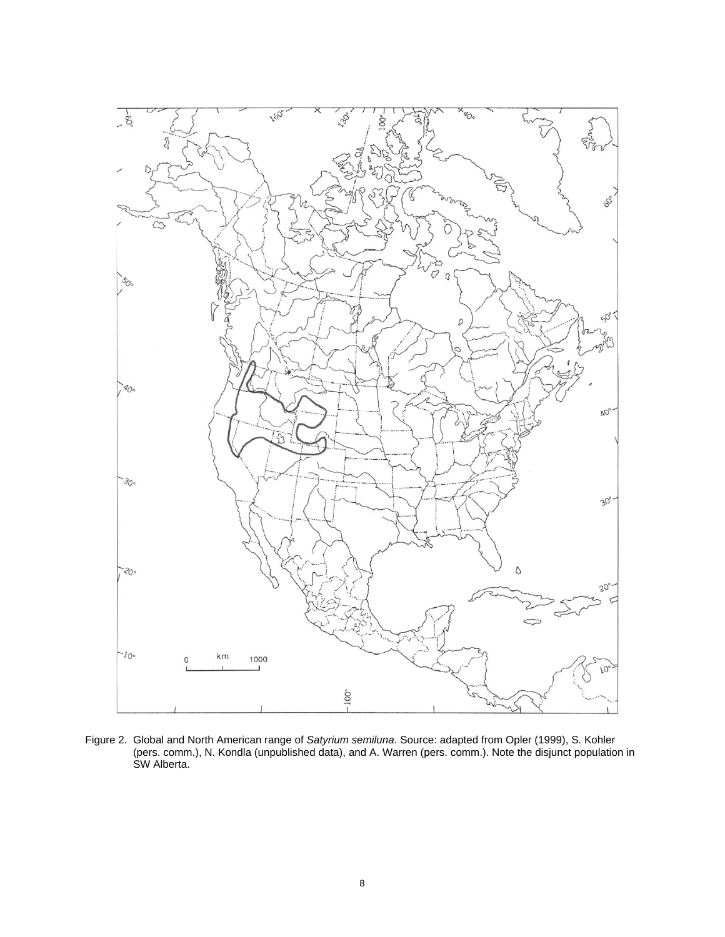

Figure 2. Global and North American range of *Satyrium semiluna*. Source: adapted from Opler (1999), S. Kohler (pers. comm.), N. Kondla (unpublished data), and A. Warren (pers. comm.). Note the disjunct population in SW Alberta.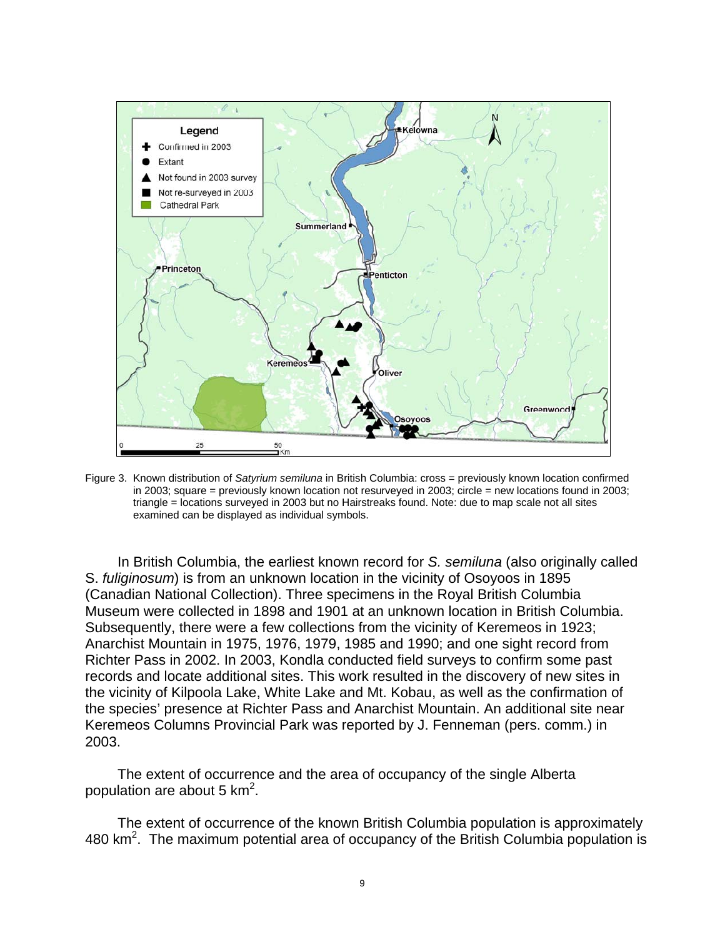

Figure 3. Known distribution of *Satyrium semiluna* in British Columbia: cross = previously known location confirmed in 2003; square = previously known location not resurveyed in 2003; circle = new locations found in 2003; triangle = locations surveyed in 2003 but no Hairstreaks found. Note: due to map scale not all sites examined can be displayed as individual symbols.

In British Columbia, the earliest known record for *S. semiluna* (also originally called S. *fuliginosum*) is from an unknown location in the vicinity of Osoyoos in 1895 (Canadian National Collection). Three specimens in the Royal British Columbia Museum were collected in 1898 and 1901 at an unknown location in British Columbia. Subsequently, there were a few collections from the vicinity of Keremeos in 1923; Anarchist Mountain in 1975, 1976, 1979, 1985 and 1990; and one sight record from Richter Pass in 2002. In 2003, Kondla conducted field surveys to confirm some past records and locate additional sites. This work resulted in the discovery of new sites in the vicinity of Kilpoola Lake, White Lake and Mt. Kobau, as well as the confirmation of the species' presence at Richter Pass and Anarchist Mountain. An additional site near Keremeos Columns Provincial Park was reported by J. Fenneman (pers. comm.) in 2003.

The extent of occurrence and the area of occupancy of the single Alberta population are about 5 km<sup>2</sup>.

The extent of occurrence of the known British Columbia population is approximately 480  $km<sup>2</sup>$ . The maximum potential area of occupancy of the British Columbia population is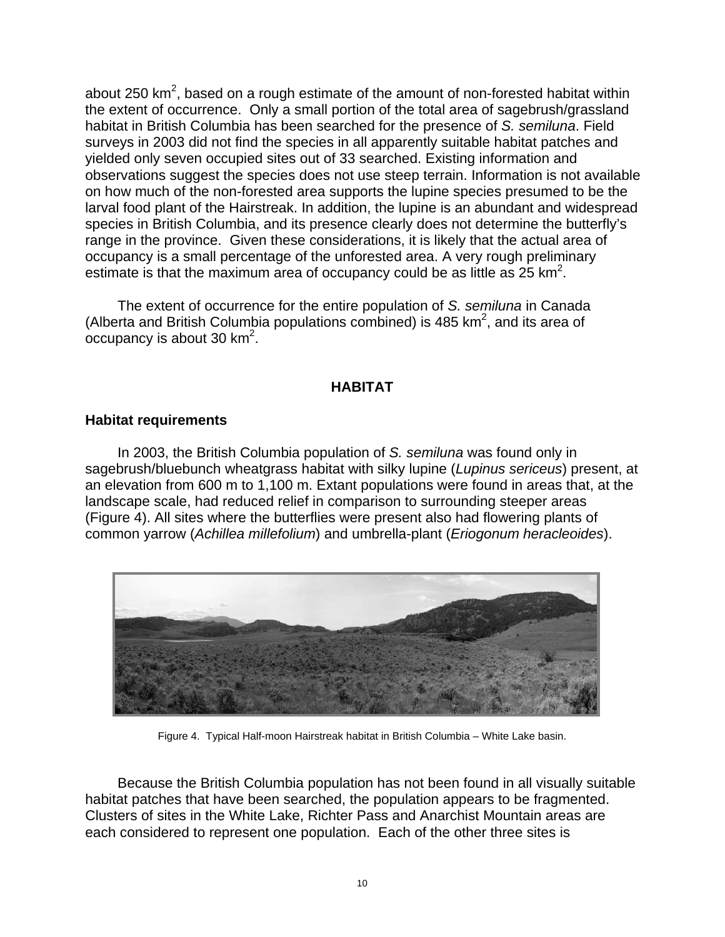about 250 km<sup>2</sup>, based on a rough estimate of the amount of non-forested habitat within the extent of occurrence. Only a small portion of the total area of sagebrush/grassland habitat in British Columbia has been searched for the presence of *S. semiluna*. Field surveys in 2003 did not find the species in all apparently suitable habitat patches and yielded only seven occupied sites out of 33 searched. Existing information and observations suggest the species does not use steep terrain. Information is not available on how much of the non-forested area supports the lupine species presumed to be the larval food plant of the Hairstreak. In addition, the lupine is an abundant and widespread species in British Columbia, and its presence clearly does not determine the butterfly's range in the province. Given these considerations, it is likely that the actual area of occupancy is a small percentage of the unforested area. A very rough preliminary estimate is that the maximum area of occupancy could be as little as  $25 \text{ km}^2$ .

The extent of occurrence for the entire population of *S. semiluna* in Canada (Alberta and British Columbia populations combined) is 485  $km^2$ , and its area of occupancy is about 30 km<sup>2</sup>.

#### **HABITAT**

#### **Habitat requirements**

In 2003, the British Columbia population of *S. semiluna* was found only in sagebrush/bluebunch wheatgrass habitat with silky lupine (*Lupinus sericeus*) present, at an elevation from 600 m to 1,100 m. Extant populations were found in areas that, at the landscape scale, had reduced relief in comparison to surrounding steeper areas (Figure 4). All sites where the butterflies were present also had flowering plants of common yarrow (*Achillea millefolium*) and umbrella-plant (*Eriogonum heracleoides*).



Figure 4. Typical Half-moon Hairstreak habitat in British Columbia – White Lake basin.

Because the British Columbia population has not been found in all visually suitable habitat patches that have been searched, the population appears to be fragmented. Clusters of sites in the White Lake, Richter Pass and Anarchist Mountain areas are each considered to represent one population. Each of the other three sites is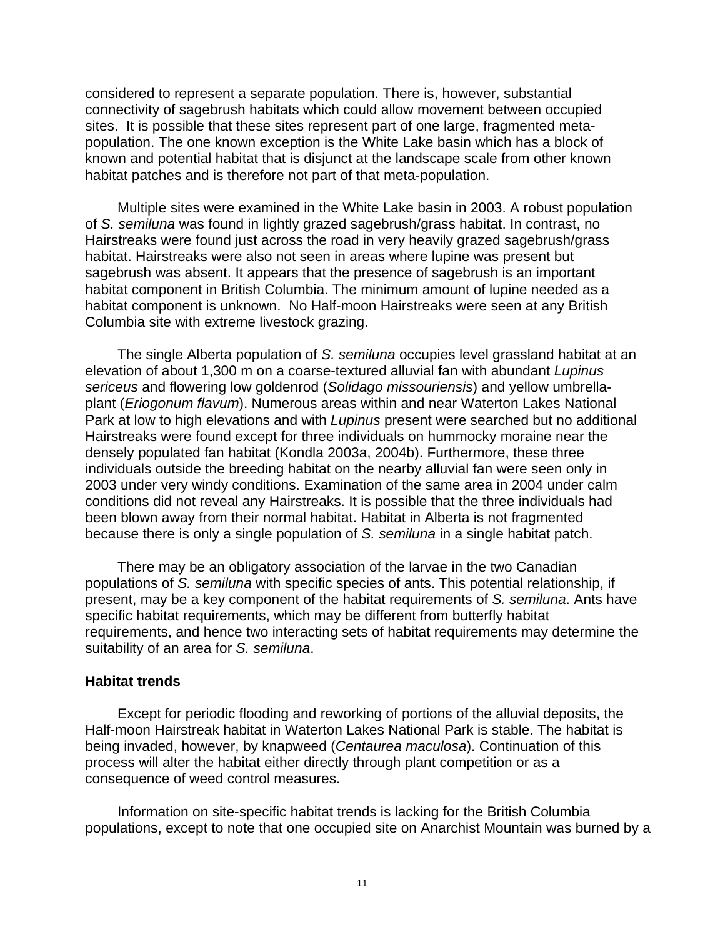considered to represent a separate population. There is, however, substantial connectivity of sagebrush habitats which could allow movement between occupied sites. It is possible that these sites represent part of one large, fragmented metapopulation. The one known exception is the White Lake basin which has a block of known and potential habitat that is disjunct at the landscape scale from other known habitat patches and is therefore not part of that meta-population.

Multiple sites were examined in the White Lake basin in 2003. A robust population of *S. semiluna* was found in lightly grazed sagebrush/grass habitat. In contrast, no Hairstreaks were found just across the road in very heavily grazed sagebrush/grass habitat. Hairstreaks were also not seen in areas where lupine was present but sagebrush was absent. It appears that the presence of sagebrush is an important habitat component in British Columbia. The minimum amount of lupine needed as a habitat component is unknown. No Half-moon Hairstreaks were seen at any British Columbia site with extreme livestock grazing.

The single Alberta population of *S. semiluna* occupies level grassland habitat at an elevation of about 1,300 m on a coarse-textured alluvial fan with abundant *Lupinus sericeus* and flowering low goldenrod (*Solidago missouriensis*) and yellow umbrellaplant (*Eriogonum flavum*). Numerous areas within and near Waterton Lakes National Park at low to high elevations and with *Lupinus* present were searched but no additional Hairstreaks were found except for three individuals on hummocky moraine near the densely populated fan habitat (Kondla 2003a, 2004b). Furthermore, these three individuals outside the breeding habitat on the nearby alluvial fan were seen only in 2003 under very windy conditions. Examination of the same area in 2004 under calm conditions did not reveal any Hairstreaks. It is possible that the three individuals had been blown away from their normal habitat. Habitat in Alberta is not fragmented because there is only a single population of *S. semiluna* in a single habitat patch.

There may be an obligatory association of the larvae in the two Canadian populations of *S. semiluna* with specific species of ants. This potential relationship, if present, may be a key component of the habitat requirements of *S. semiluna*. Ants have specific habitat requirements, which may be different from butterfly habitat requirements, and hence two interacting sets of habitat requirements may determine the suitability of an area for *S. semiluna*.

#### **Habitat trends**

Except for periodic flooding and reworking of portions of the alluvial deposits, the Half-moon Hairstreak habitat in Waterton Lakes National Park is stable. The habitat is being invaded, however, by knapweed (*Centaurea maculosa*). Continuation of this process will alter the habitat either directly through plant competition or as a consequence of weed control measures.

Information on site-specific habitat trends is lacking for the British Columbia populations, except to note that one occupied site on Anarchist Mountain was burned by a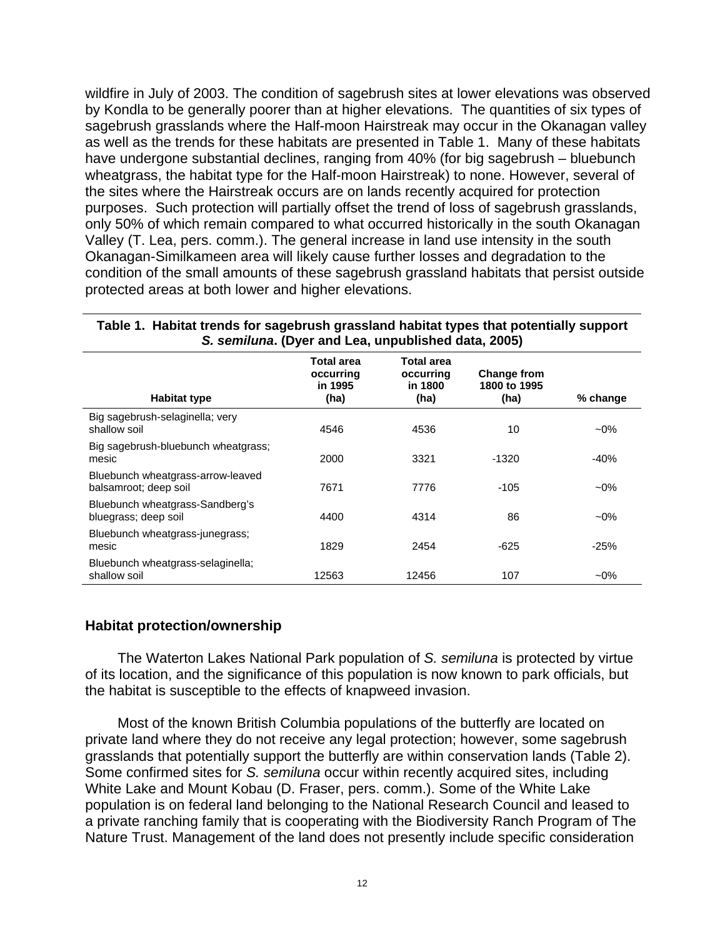wildfire in July of 2003. The condition of sagebrush sites at lower elevations was observed by Kondla to be generally poorer than at higher elevations. The quantities of six types of sagebrush grasslands where the Half-moon Hairstreak may occur in the Okanagan valley as well as the trends for these habitats are presented in Table 1. Many of these habitats have undergone substantial declines, ranging from 40% (for big sagebrush – bluebunch wheatgrass, the habitat type for the Half-moon Hairstreak) to none. However, several of the sites where the Hairstreak occurs are on lands recently acquired for protection purposes. Such protection will partially offset the trend of loss of sagebrush grasslands, only 50% of which remain compared to what occurred historically in the south Okanagan Valley (T. Lea, pers. comm.). The general increase in land use intensity in the south Okanagan-Similkameen area will likely cause further losses and degradation to the condition of the small amounts of these sagebrush grassland habitats that persist outside protected areas at both lower and higher elevations.

| <b>Habitat type</b>                                        | <b>Total area</b><br>occurring<br>in 1995<br>(ha) | <b>Total area</b><br>occurring<br>in 1800<br>(ha) | <b>Change from</b><br>1800 to 1995<br>(ha) | % change |
|------------------------------------------------------------|---------------------------------------------------|---------------------------------------------------|--------------------------------------------|----------|
| Big sagebrush-selaginella; very<br>shallow soil            | 4546                                              | 4536                                              | 10                                         | $-0\%$   |
| Big sagebrush-bluebunch wheatgrass;<br>mesic               | 2000                                              | 3321                                              | $-1320$                                    | $-40%$   |
| Bluebunch wheatgrass-arrow-leaved<br>balsamroot; deep soil | 7671                                              | 7776                                              | $-105$                                     | $-0\%$   |
| Bluebunch wheatgrass-Sandberg's<br>bluegrass; deep soil    | 4400                                              | 4314                                              | 86                                         | $-0\%$   |
| Bluebunch wheatgrass-junegrass;<br>mesic                   | 1829                                              | 2454                                              | -625                                       | $-25%$   |
| Bluebunch wheatgrass-selaginella;<br>shallow soil          | 12563                                             | 12456                                             | 107                                        | $-0\%$   |

#### **Table 1. Habitat trends for sagebrush grassland habitat types that potentially support**  *S. semiluna***. (Dyer and Lea, unpublished data, 2005)**

#### **Habitat protection/ownership**

The Waterton Lakes National Park population of *S. semiluna* is protected by virtue of its location, and the significance of this population is now known to park officials, but the habitat is susceptible to the effects of knapweed invasion.

Most of the known British Columbia populations of the butterfly are located on private land where they do not receive any legal protection; however, some sagebrush grasslands that potentially support the butterfly are within conservation lands (Table 2). Some confirmed sites for *S. semiluna* occur within recently acquired sites, including White Lake and Mount Kobau (D. Fraser, pers. comm.). Some of the White Lake population is on federal land belonging to the National Research Council and leased to a private ranching family that is cooperating with the Biodiversity Ranch Program of The Nature Trust. Management of the land does not presently include specific consideration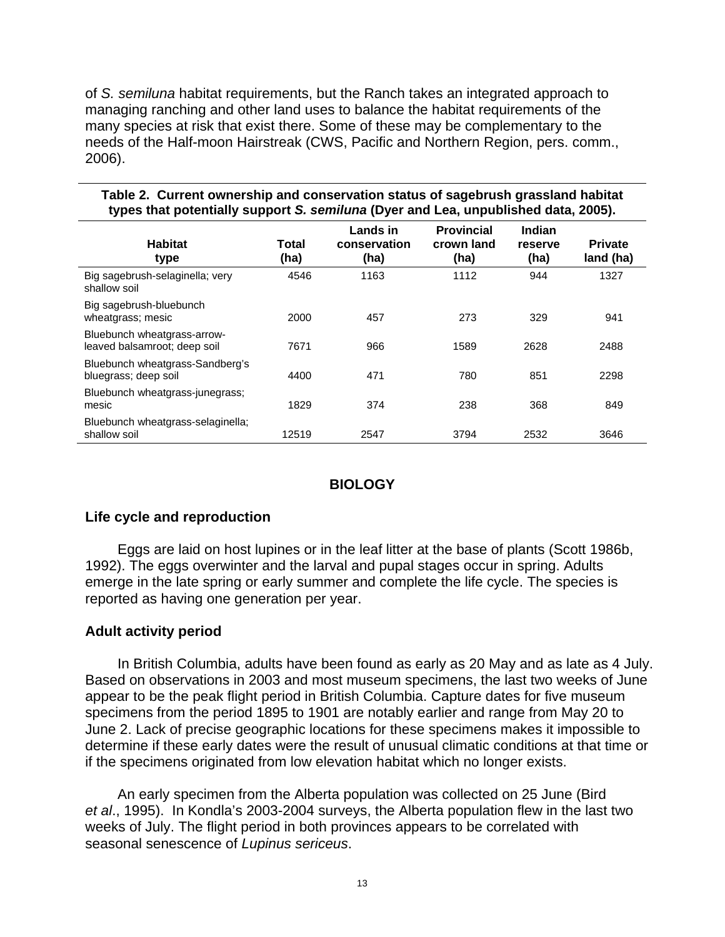of *S. semiluna* habitat requirements, but the Ranch takes an integrated approach to managing ranching and other land uses to balance the habitat requirements of the many species at risk that exist there. Some of these may be complementary to the needs of the Half-moon Hairstreak (CWS, Pacific and Northern Region, pers. comm., 2006).

| types that potentially support S. semiluna (Dyer and Lea, unpublished data, 2005). |               |                                  |                                         |                           |                             |  |  |  |
|------------------------------------------------------------------------------------|---------------|----------------------------------|-----------------------------------------|---------------------------|-----------------------------|--|--|--|
| <b>Habitat</b><br>type                                                             | Total<br>(ha) | Lands in<br>conservation<br>(ha) | <b>Provincial</b><br>crown land<br>(ha) | Indian<br>reserve<br>(ha) | <b>Private</b><br>land (ha) |  |  |  |
| Big sagebrush-selaginella; very<br>shallow soil                                    | 4546          | 1163                             | 1112                                    | 944                       | 1327                        |  |  |  |
| Big sagebrush-bluebunch<br>wheatgrass; mesic                                       | 2000          | 457                              | 273                                     | 329                       | 941                         |  |  |  |
| Bluebunch wheatgrass-arrow-<br>leaved balsamroot; deep soil                        | 7671          | 966                              | 1589                                    | 2628                      | 2488                        |  |  |  |
| Bluebunch wheatgrass-Sandberg's<br>bluegrass; deep soil                            | 4400          | 471                              | 780                                     | 851                       | 2298                        |  |  |  |
| Bluebunch wheatgrass-junegrass;<br>mesic                                           | 1829          | 374                              | 238                                     | 368                       | 849                         |  |  |  |
| Bluebunch wheatgrass-selaginella;<br>shallow soil                                  | 12519         | 2547                             | 3794                                    | 2532                      | 3646                        |  |  |  |

# **Table 2. Current ownership and conservation status of sagebrush grassland habitat**

#### **BIOLOGY**

#### **Life cycle and reproduction**

Eggs are laid on host lupines or in the leaf litter at the base of plants (Scott 1986b, 1992). The eggs overwinter and the larval and pupal stages occur in spring. Adults emerge in the late spring or early summer and complete the life cycle. The species is reported as having one generation per year.

#### **Adult activity period**

In British Columbia, adults have been found as early as 20 May and as late as 4 July. Based on observations in 2003 and most museum specimens, the last two weeks of June appear to be the peak flight period in British Columbia. Capture dates for five museum specimens from the period 1895 to 1901 are notably earlier and range from May 20 to June 2. Lack of precise geographic locations for these specimens makes it impossible to determine if these early dates were the result of unusual climatic conditions at that time or if the specimens originated from low elevation habitat which no longer exists.

An early specimen from the Alberta population was collected on 25 June (Bird *et al*., 1995). In Kondla's 2003-2004 surveys, the Alberta population flew in the last two weeks of July. The flight period in both provinces appears to be correlated with seasonal senescence of *Lupinus sericeus*.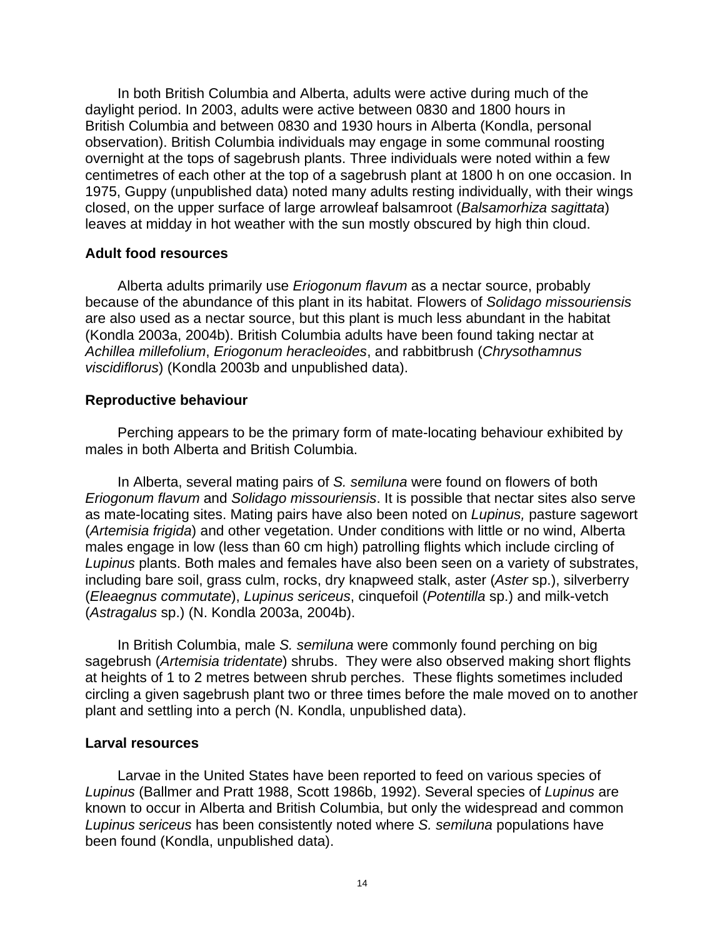In both British Columbia and Alberta, adults were active during much of the daylight period. In 2003, adults were active between 0830 and 1800 hours in British Columbia and between 0830 and 1930 hours in Alberta (Kondla, personal observation). British Columbia individuals may engage in some communal roosting overnight at the tops of sagebrush plants. Three individuals were noted within a few centimetres of each other at the top of a sagebrush plant at 1800 h on one occasion. In 1975, Guppy (unpublished data) noted many adults resting individually, with their wings closed, on the upper surface of large arrowleaf balsamroot (*Balsamorhiza sagittata*) leaves at midday in hot weather with the sun mostly obscured by high thin cloud.

#### **Adult food resources**

Alberta adults primarily use *Eriogonum flavum* as a nectar source, probably because of the abundance of this plant in its habitat. Flowers of *Solidago missouriensis* are also used as a nectar source, but this plant is much less abundant in the habitat (Kondla 2003a, 2004b). British Columbia adults have been found taking nectar at *Achillea millefolium*, *Eriogonum heracleoides*, and rabbitbrush (*Chrysothamnus viscidiflorus*) (Kondla 2003b and unpublished data).

#### **Reproductive behaviour**

Perching appears to be the primary form of mate-locating behaviour exhibited by males in both Alberta and British Columbia.

In Alberta, several mating pairs of *S. semiluna* were found on flowers of both *Eriogonum flavum* and *Solidago missouriensis*. It is possible that nectar sites also serve as mate-locating sites. Mating pairs have also been noted on *Lupinus,* pasture sagewort (*Artemisia frigida*) and other vegetation. Under conditions with little or no wind, Alberta males engage in low (less than 60 cm high) patrolling flights which include circling of *Lupinus* plants. Both males and females have also been seen on a variety of substrates, including bare soil, grass culm, rocks, dry knapweed stalk, aster (*Aster* sp.), silverberry (*Eleaegnus commutate*), *Lupinus sericeus*, cinquefoil (*Potentilla* sp.) and milk-vetch (*Astragalus* sp.) (N. Kondla 2003a, 2004b).

In British Columbia, male *S. semiluna* were commonly found perching on big sagebrush (*Artemisia tridentate*) shrubs. They were also observed making short flights at heights of 1 to 2 metres between shrub perches. These flights sometimes included circling a given sagebrush plant two or three times before the male moved on to another plant and settling into a perch (N. Kondla, unpublished data).

#### **Larval resources**

Larvae in the United States have been reported to feed on various species of *Lupinus* (Ballmer and Pratt 1988, Scott 1986b, 1992). Several species of *Lupinus* are known to occur in Alberta and British Columbia, but only the widespread and common *Lupinus sericeus* has been consistently noted where *S. semiluna* populations have been found (Kondla, unpublished data).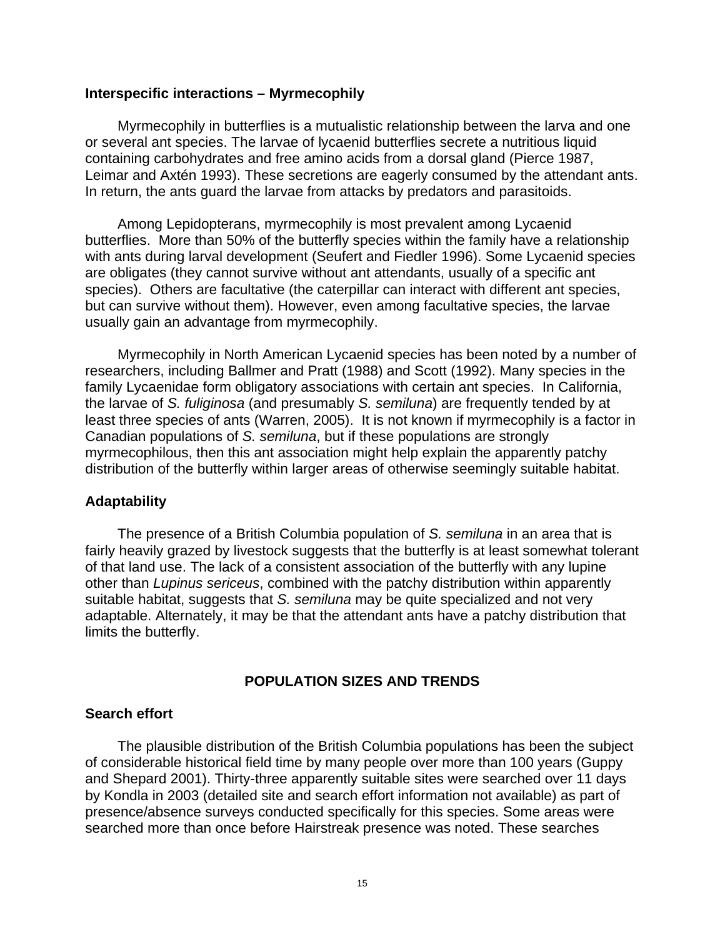#### **Interspecific interactions – Myrmecophily**

Myrmecophily in butterflies is a mutualistic relationship between the larva and one or several ant species. The larvae of lycaenid butterflies secrete a nutritious liquid containing carbohydrates and free amino acids from a dorsal gland (Pierce 1987, Leimar and Axtén 1993). These secretions are eagerly consumed by the attendant ants. In return, the ants guard the larvae from attacks by predators and parasitoids.

Among Lepidopterans, myrmecophily is most prevalent among Lycaenid butterflies. More than 50% of the butterfly species within the family have a relationship with ants during larval development (Seufert and Fiedler 1996). Some Lycaenid species are obligates (they cannot survive without ant attendants, usually of a specific ant species). Others are facultative (the caterpillar can interact with different ant species, but can survive without them). However, even among facultative species, the larvae usually gain an advantage from myrmecophily.

Myrmecophily in North American Lycaenid species has been noted by a number of researchers, including Ballmer and Pratt (1988) and Scott (1992). Many species in the family Lycaenidae form obligatory associations with certain ant species. In California, the larvae of *S. fuliginosa* (and presumably *S. semiluna*) are frequently tended by at least three species of ants (Warren, 2005). It is not known if myrmecophily is a factor in Canadian populations of *S. semiluna*, but if these populations are strongly myrmecophilous, then this ant association might help explain the apparently patchy distribution of the butterfly within larger areas of otherwise seemingly suitable habitat.

#### **Adaptability**

The presence of a British Columbia population of *S. semiluna* in an area that is fairly heavily grazed by livestock suggests that the butterfly is at least somewhat tolerant of that land use. The lack of a consistent association of the butterfly with any lupine other than *Lupinus sericeus*, combined with the patchy distribution within apparently suitable habitat, suggests that *S. semiluna* may be quite specialized and not very adaptable. Alternately, it may be that the attendant ants have a patchy distribution that limits the butterfly.

#### **POPULATION SIZES AND TRENDS**

#### **Search effort**

The plausible distribution of the British Columbia populations has been the subject of considerable historical field time by many people over more than 100 years (Guppy and Shepard 2001). Thirty-three apparently suitable sites were searched over 11 days by Kondla in 2003 (detailed site and search effort information not available) as part of presence/absence surveys conducted specifically for this species. Some areas were searched more than once before Hairstreak presence was noted. These searches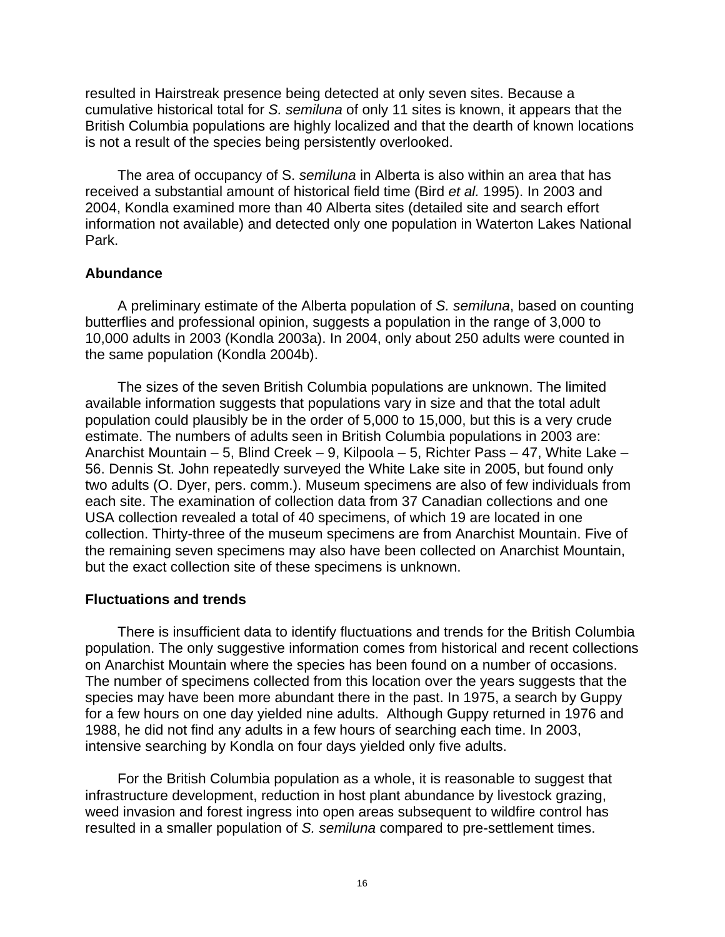resulted in Hairstreak presence being detected at only seven sites. Because a cumulative historical total for *S. semiluna* of only 11 sites is known, it appears that the British Columbia populations are highly localized and that the dearth of known locations is not a result of the species being persistently overlooked.

The area of occupancy of S. *semiluna* in Alberta is also within an area that has received a substantial amount of historical field time (Bird *et al.* 1995). In 2003 and 2004, Kondla examined more than 40 Alberta sites (detailed site and search effort information not available) and detected only one population in Waterton Lakes National Park.

#### **Abundance**

A preliminary estimate of the Alberta population of *S. semiluna*, based on counting butterflies and professional opinion, suggests a population in the range of 3,000 to 10,000 adults in 2003 (Kondla 2003a). In 2004, only about 250 adults were counted in the same population (Kondla 2004b).

The sizes of the seven British Columbia populations are unknown. The limited available information suggests that populations vary in size and that the total adult population could plausibly be in the order of 5,000 to 15,000, but this is a very crude estimate. The numbers of adults seen in British Columbia populations in 2003 are: Anarchist Mountain – 5, Blind Creek – 9, Kilpoola – 5, Richter Pass – 47, White Lake – 56. Dennis St. John repeatedly surveyed the White Lake site in 2005, but found only two adults (O. Dyer, pers. comm.). Museum specimens are also of few individuals from each site. The examination of collection data from 37 Canadian collections and one USA collection revealed a total of 40 specimens, of which 19 are located in one collection. Thirty-three of the museum specimens are from Anarchist Mountain. Five of the remaining seven specimens may also have been collected on Anarchist Mountain, but the exact collection site of these specimens is unknown.

#### **Fluctuations and trends**

There is insufficient data to identify fluctuations and trends for the British Columbia population. The only suggestive information comes from historical and recent collections on Anarchist Mountain where the species has been found on a number of occasions. The number of specimens collected from this location over the years suggests that the species may have been more abundant there in the past. In 1975, a search by Guppy for a few hours on one day yielded nine adults. Although Guppy returned in 1976 and 1988, he did not find any adults in a few hours of searching each time. In 2003, intensive searching by Kondla on four days yielded only five adults.

For the British Columbia population as a whole, it is reasonable to suggest that infrastructure development, reduction in host plant abundance by livestock grazing, weed invasion and forest ingress into open areas subsequent to wildfire control has resulted in a smaller population of *S. semiluna* compared to pre-settlement times.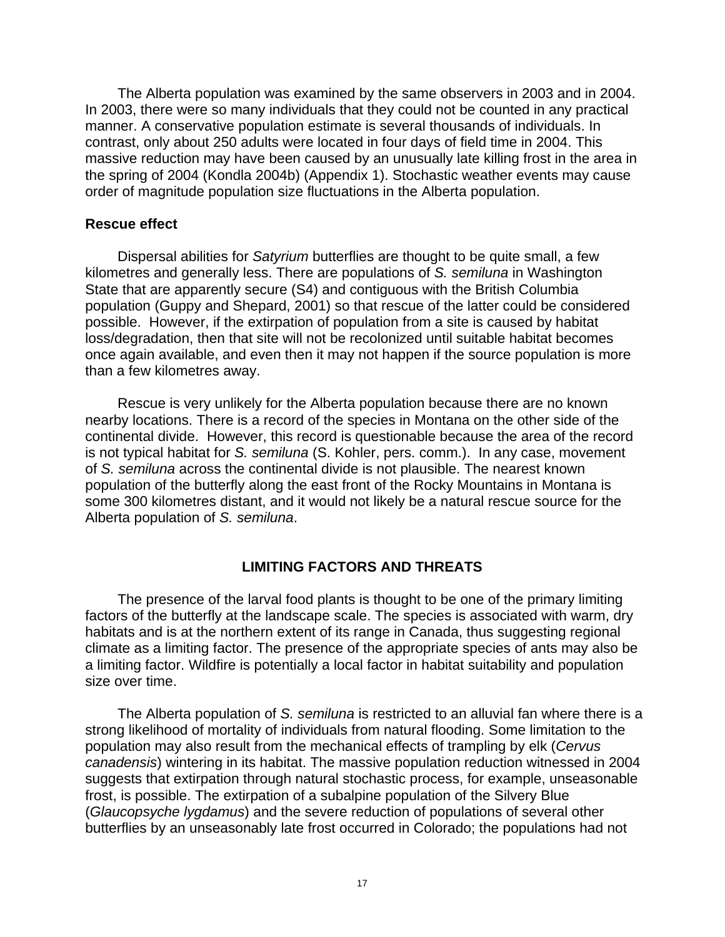The Alberta population was examined by the same observers in 2003 and in 2004. In 2003, there were so many individuals that they could not be counted in any practical manner. A conservative population estimate is several thousands of individuals. In contrast, only about 250 adults were located in four days of field time in 2004. This massive reduction may have been caused by an unusually late killing frost in the area in the spring of 2004 (Kondla 2004b) (Appendix 1). Stochastic weather events may cause order of magnitude population size fluctuations in the Alberta population.

#### **Rescue effect**

Dispersal abilities for *Satyrium* butterflies are thought to be quite small, a few kilometres and generally less. There are populations of *S. semiluna* in Washington State that are apparently secure (S4) and contiguous with the British Columbia population (Guppy and Shepard, 2001) so that rescue of the latter could be considered possible. However, if the extirpation of population from a site is caused by habitat loss/degradation, then that site will not be recolonized until suitable habitat becomes once again available, and even then it may not happen if the source population is more than a few kilometres away.

Rescue is very unlikely for the Alberta population because there are no known nearby locations. There is a record of the species in Montana on the other side of the continental divide. However, this record is questionable because the area of the record is not typical habitat for *S. semiluna* (S. Kohler, pers. comm.). In any case, movement of *S. semiluna* across the continental divide is not plausible. The nearest known population of the butterfly along the east front of the Rocky Mountains in Montana is some 300 kilometres distant, and it would not likely be a natural rescue source for the Alberta population of *S. semiluna*.

#### **LIMITING FACTORS AND THREATS**

The presence of the larval food plants is thought to be one of the primary limiting factors of the butterfly at the landscape scale. The species is associated with warm, dry habitats and is at the northern extent of its range in Canada, thus suggesting regional climate as a limiting factor. The presence of the appropriate species of ants may also be a limiting factor. Wildfire is potentially a local factor in habitat suitability and population size over time.

The Alberta population of *S. semiluna* is restricted to an alluvial fan where there is a strong likelihood of mortality of individuals from natural flooding. Some limitation to the population may also result from the mechanical effects of trampling by elk (*Cervus canadensis*) wintering in its habitat. The massive population reduction witnessed in 2004 suggests that extirpation through natural stochastic process, for example, unseasonable frost, is possible. The extirpation of a subalpine population of the Silvery Blue (*Glaucopsyche lygdamus*) and the severe reduction of populations of several other butterflies by an unseasonably late frost occurred in Colorado; the populations had not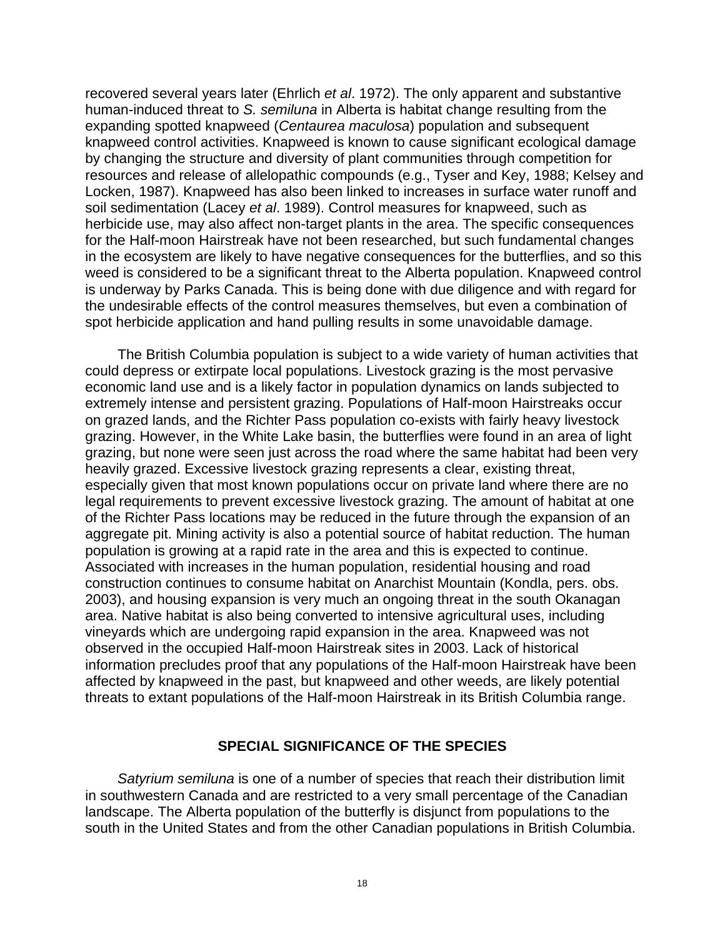recovered several years later (Ehrlich *et al*. 1972). The only apparent and substantive human-induced threat to *S. semiluna* in Alberta is habitat change resulting from the expanding spotted knapweed (*Centaurea maculosa*) population and subsequent knapweed control activities. Knapweed is known to cause significant ecological damage by changing the structure and diversity of plant communities through competition for resources and release of allelopathic compounds (e.g., Tyser and Key, 1988; Kelsey and Locken, 1987). Knapweed has also been linked to increases in surface water runoff and soil sedimentation (Lacey *et al*. 1989). Control measures for knapweed, such as herbicide use, may also affect non-target plants in the area. The specific consequences for the Half-moon Hairstreak have not been researched, but such fundamental changes in the ecosystem are likely to have negative consequences for the butterflies, and so this weed is considered to be a significant threat to the Alberta population. Knapweed control is underway by Parks Canada. This is being done with due diligence and with regard for the undesirable effects of the control measures themselves, but even a combination of spot herbicide application and hand pulling results in some unavoidable damage.

The British Columbia population is subject to a wide variety of human activities that could depress or extirpate local populations. Livestock grazing is the most pervasive economic land use and is a likely factor in population dynamics on lands subjected to extremely intense and persistent grazing. Populations of Half-moon Hairstreaks occur on grazed lands, and the Richter Pass population co-exists with fairly heavy livestock grazing. However, in the White Lake basin, the butterflies were found in an area of light grazing, but none were seen just across the road where the same habitat had been very heavily grazed. Excessive livestock grazing represents a clear, existing threat, especially given that most known populations occur on private land where there are no legal requirements to prevent excessive livestock grazing. The amount of habitat at one of the Richter Pass locations may be reduced in the future through the expansion of an aggregate pit. Mining activity is also a potential source of habitat reduction. The human population is growing at a rapid rate in the area and this is expected to continue. Associated with increases in the human population, residential housing and road construction continues to consume habitat on Anarchist Mountain (Kondla, pers. obs. 2003), and housing expansion is very much an ongoing threat in the south Okanagan area. Native habitat is also being converted to intensive agricultural uses, including vineyards which are undergoing rapid expansion in the area. Knapweed was not observed in the occupied Half-moon Hairstreak sites in 2003. Lack of historical information precludes proof that any populations of the Half-moon Hairstreak have been affected by knapweed in the past, but knapweed and other weeds, are likely potential threats to extant populations of the Half-moon Hairstreak in its British Columbia range.

#### **SPECIAL SIGNIFICANCE OF THE SPECIES**

*Satyrium semiluna* is one of a number of species that reach their distribution limit in southwestern Canada and are restricted to a very small percentage of the Canadian landscape. The Alberta population of the butterfly is disjunct from populations to the south in the United States and from the other Canadian populations in British Columbia.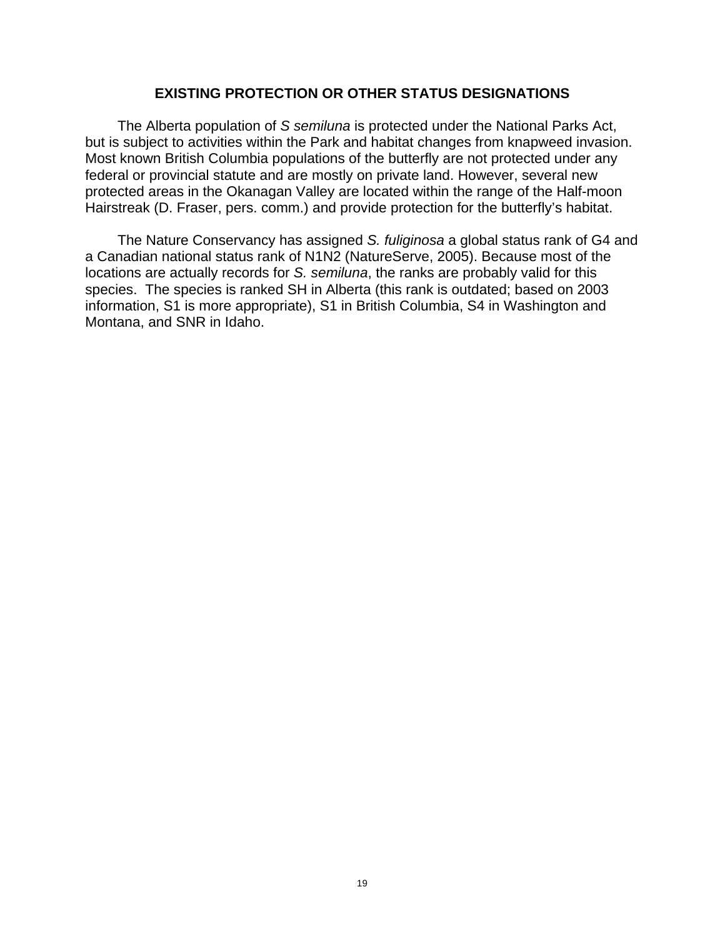#### **EXISTING PROTECTION OR OTHER STATUS DESIGNATIONS**

The Alberta population of *S semiluna* is protected under the National Parks Act, but is subject to activities within the Park and habitat changes from knapweed invasion. Most known British Columbia populations of the butterfly are not protected under any federal or provincial statute and are mostly on private land. However, several new protected areas in the Okanagan Valley are located within the range of the Half-moon Hairstreak (D. Fraser, pers. comm.) and provide protection for the butterfly's habitat.

The Nature Conservancy has assigned *S. fuliginosa* a global status rank of G4 and a Canadian national status rank of N1N2 (NatureServe, 2005). Because most of the locations are actually records for *S. semiluna*, the ranks are probably valid for this species. The species is ranked SH in Alberta (this rank is outdated; based on 2003 information, S1 is more appropriate), S1 in British Columbia, S4 in Washington and Montana, and SNR in Idaho.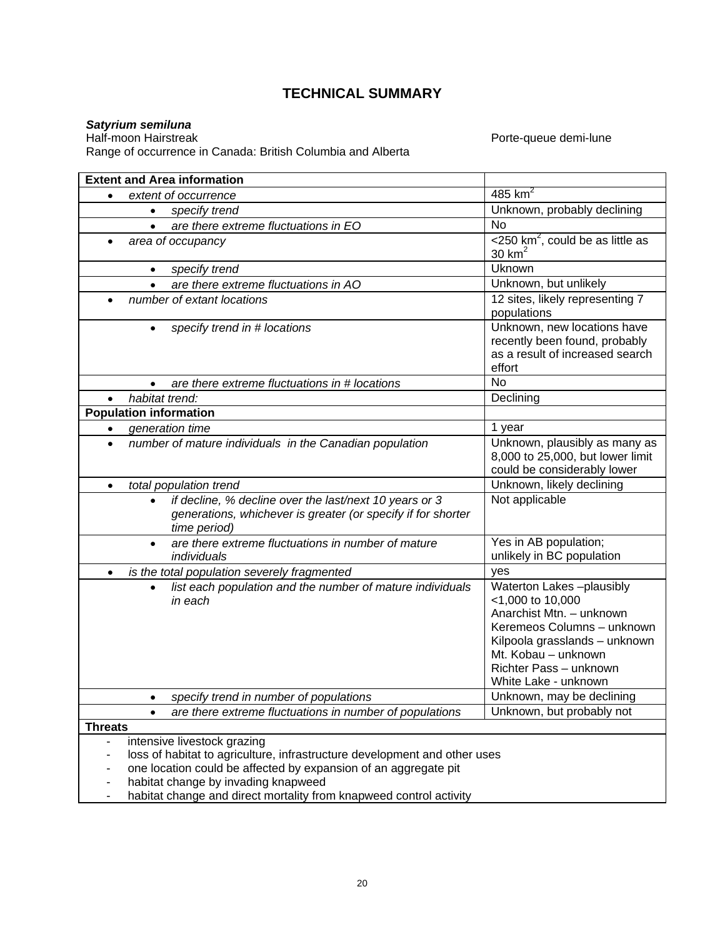### **TECHNICAL SUMMARY**

*Satyrium semiluna*  Range of occurrence in Canada: British Columbia and Alberta

Porte-queue demi-lune

|                |                | <b>Extent and Area information</b>                                                                                                                                                                                                                                                       |                                                                                                                                                                                                                  |
|----------------|----------------|------------------------------------------------------------------------------------------------------------------------------------------------------------------------------------------------------------------------------------------------------------------------------------------|------------------------------------------------------------------------------------------------------------------------------------------------------------------------------------------------------------------|
| $\bullet$      | 485 $km^2$     |                                                                                                                                                                                                                                                                                          |                                                                                                                                                                                                                  |
|                | $\bullet$      | specify trend                                                                                                                                                                                                                                                                            | Unknown, probably declining                                                                                                                                                                                      |
|                | $\bullet$      | are there extreme fluctuations in EO                                                                                                                                                                                                                                                     | <b>No</b>                                                                                                                                                                                                        |
|                |                | area of occupancy                                                                                                                                                                                                                                                                        | $<$ 250 km <sup>2</sup> , could be as little as                                                                                                                                                                  |
|                |                |                                                                                                                                                                                                                                                                                          | 30 $km2$                                                                                                                                                                                                         |
|                | $\bullet$      | specify trend                                                                                                                                                                                                                                                                            | Uknown                                                                                                                                                                                                           |
|                |                | are there extreme fluctuations in AO                                                                                                                                                                                                                                                     | Unknown, but unlikely                                                                                                                                                                                            |
|                |                | number of extant locations                                                                                                                                                                                                                                                               | 12 sites, likely representing 7<br>populations                                                                                                                                                                   |
|                |                | specify trend in # locations                                                                                                                                                                                                                                                             | Unknown, new locations have<br>recently been found, probably<br>as a result of increased search<br>effort                                                                                                        |
|                |                | are there extreme fluctuations in # locations                                                                                                                                                                                                                                            | <b>No</b>                                                                                                                                                                                                        |
|                | habitat trend: |                                                                                                                                                                                                                                                                                          | Declining                                                                                                                                                                                                        |
|                |                | <b>Population information</b>                                                                                                                                                                                                                                                            |                                                                                                                                                                                                                  |
| ٠              |                | generation time                                                                                                                                                                                                                                                                          | 1 year                                                                                                                                                                                                           |
| $\bullet$      |                | number of mature individuals in the Canadian population                                                                                                                                                                                                                                  | Unknown, plausibly as many as<br>8,000 to 25,000, but lower limit<br>could be considerably lower                                                                                                                 |
| $\bullet$      |                | total population trend                                                                                                                                                                                                                                                                   | Unknown, likely declining                                                                                                                                                                                        |
|                | $\bullet$      | if decline, % decline over the last/next 10 years or 3<br>generations, whichever is greater (or specify if for shorter<br>time period)                                                                                                                                                   | Not applicable                                                                                                                                                                                                   |
|                | $\bullet$      | are there extreme fluctuations in number of mature<br>individuals                                                                                                                                                                                                                        | Yes in AB population;<br>unlikely in BC population                                                                                                                                                               |
| $\bullet$      |                | is the total population severely fragmented                                                                                                                                                                                                                                              | yes                                                                                                                                                                                                              |
|                |                | list each population and the number of mature individuals<br>in each                                                                                                                                                                                                                     | Waterton Lakes-plausibly<br><1,000 to 10,000<br>Anarchist Mtn. - unknown<br>Keremeos Columns - unknown<br>Kilpoola grasslands - unknown<br>Mt. Kobau - unknown<br>Richter Pass - unknown<br>White Lake - unknown |
|                |                | specify trend in number of populations                                                                                                                                                                                                                                                   | Unknown, may be declining                                                                                                                                                                                        |
|                | $\bullet$      | are there extreme fluctuations in number of populations                                                                                                                                                                                                                                  | Unknown, but probably not                                                                                                                                                                                        |
| <b>Threats</b> |                |                                                                                                                                                                                                                                                                                          |                                                                                                                                                                                                                  |
|                |                | intensive livestock grazing<br>loss of habitat to agriculture, infrastructure development and other uses<br>one location could be affected by expansion of an aggregate pit<br>habitat change by invading knapweed<br>habitat change and direct mortality from knapweed control activity |                                                                                                                                                                                                                  |
| ۰              |                |                                                                                                                                                                                                                                                                                          |                                                                                                                                                                                                                  |

- habitat change and direct mortality from knapweed control activity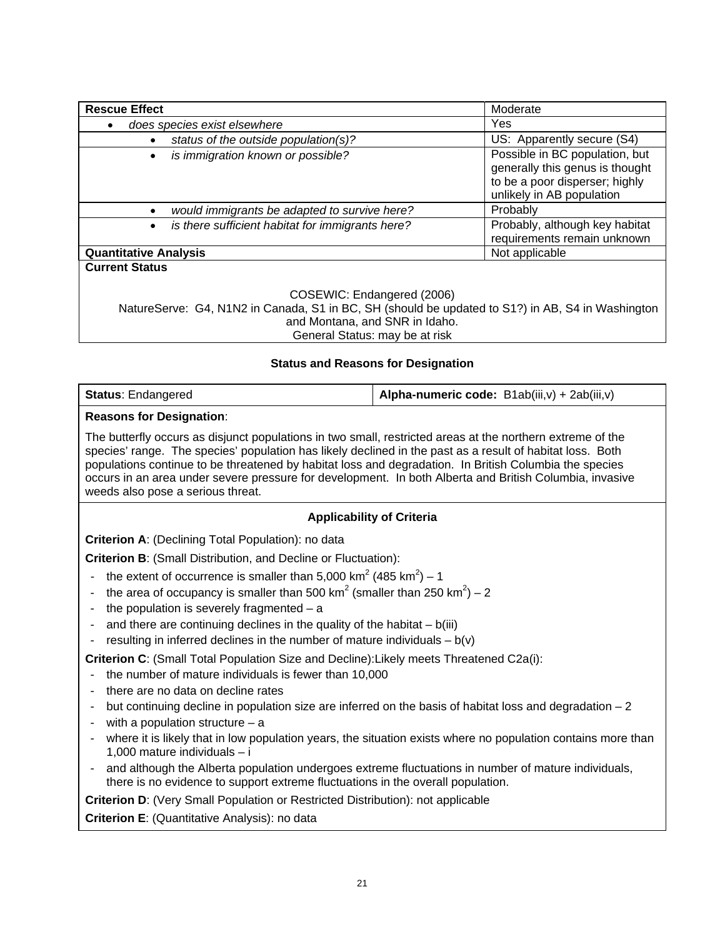| <b>Rescue Effect</b>                                                                             | Moderate                                                                                                                         |  |  |  |  |  |
|--------------------------------------------------------------------------------------------------|----------------------------------------------------------------------------------------------------------------------------------|--|--|--|--|--|
| does species exist elsewhere                                                                     | Yes.                                                                                                                             |  |  |  |  |  |
| status of the outside population(s)?                                                             | US: Apparently secure (S4)                                                                                                       |  |  |  |  |  |
| is immigration known or possible?<br>$\bullet$                                                   | Possible in BC population, but<br>generally this genus is thought<br>to be a poor disperser; highly<br>unlikely in AB population |  |  |  |  |  |
| would immigrants be adapted to survive here?                                                     | Probably                                                                                                                         |  |  |  |  |  |
| is there sufficient habitat for immigrants here?<br>$\bullet$                                    | Probably, although key habitat<br>requirements remain unknown                                                                    |  |  |  |  |  |
| <b>Quantitative Analysis</b>                                                                     | Not applicable                                                                                                                   |  |  |  |  |  |
| <b>Current Status</b><br>COSEWIC: Endangered (2006)                                              |                                                                                                                                  |  |  |  |  |  |
| NatureServe: G4, N1N2 in Canada, S1 in BC, SH (should be updated to S1?) in AB, S4 in Washington |                                                                                                                                  |  |  |  |  |  |

#### **Status and Reasons for Designation**

and Montana, and SNR in Idaho. General Status: may be at risk

| <b>Status: Endangered</b> | <b>Alpha-numeric code:</b> B1ab(iii,v) + 2ab(iii,v) |
|---------------------------|-----------------------------------------------------|
|---------------------------|-----------------------------------------------------|

#### **Reasons for Designation**:

The butterfly occurs as disjunct populations in two small, restricted areas at the northern extreme of the species' range. The species' population has likely declined in the past as a result of habitat loss. Both populations continue to be threatened by habitat loss and degradation. In British Columbia the species occurs in an area under severe pressure for development. In both Alberta and British Columbia, invasive weeds also pose a serious threat.

#### **Applicability of Criteria**

**Criterion A**: (Declining Total Population): no data

**Criterion B**: (Small Distribution, and Decline or Fluctuation):

- the extent of occurrence is smaller than 5,000 km<sup>2</sup> (485 km<sup>2</sup>) 1
- the area of occupancy is smaller than 500 km<sup>2</sup> (smaller than 250 km<sup>2</sup>) 2
- the population is severely fragmented  $-$  a
- and there are continuing declines in the quality of the habitat  $b(iii)$
- resulting in inferred declines in the number of mature individuals  $b(v)$

**Criterion C**: (Small Total Population Size and Decline):Likely meets Threatened C2a(i):

- the number of mature individuals is fewer than 10,000
- there are no data on decline rates
- but continuing decline in population size are inferred on the basis of habitat loss and degradation  $-2$
- with a population structure  $-$  a
- where it is likely that in low population years, the situation exists where no population contains more than 1,000 mature individuals – i
- and although the Alberta population undergoes extreme fluctuations in number of mature individuals, there is no evidence to support extreme fluctuations in the overall population.

**Criterion D**: (Very Small Population or Restricted Distribution): not applicable

**Criterion E**: (Quantitative Analysis): no data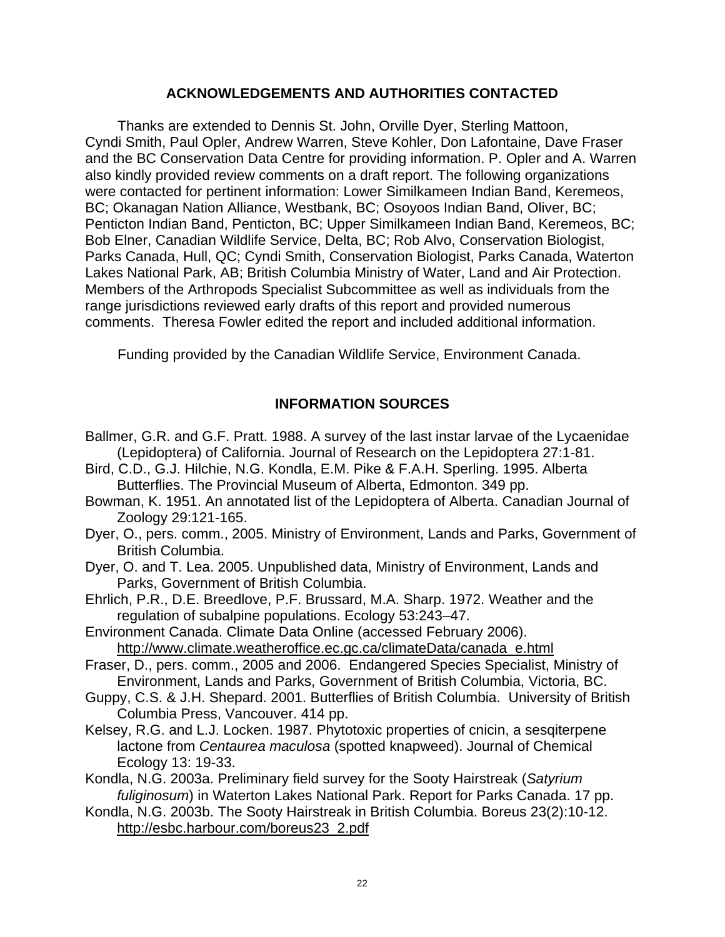#### **ACKNOWLEDGEMENTS AND AUTHORITIES CONTACTED**

Thanks are extended to Dennis St. John, Orville Dyer, Sterling Mattoon, Cyndi Smith, Paul Opler, Andrew Warren, Steve Kohler, Don Lafontaine, Dave Fraser and the BC Conservation Data Centre for providing information. P. Opler and A. Warren also kindly provided review comments on a draft report. The following organizations were contacted for pertinent information: Lower Similkameen Indian Band, Keremeos, BC; Okanagan Nation Alliance, Westbank, BC; Osoyoos Indian Band, Oliver, BC; Penticton Indian Band, Penticton, BC; Upper Similkameen Indian Band, Keremeos, BC; Bob Elner, Canadian Wildlife Service, Delta, BC; Rob Alvo, Conservation Biologist, Parks Canada, Hull, QC; Cyndi Smith, Conservation Biologist, Parks Canada, Waterton Lakes National Park, AB; British Columbia Ministry of Water, Land and Air Protection. Members of the Arthropods Specialist Subcommittee as well as individuals from the range jurisdictions reviewed early drafts of this report and provided numerous comments. Theresa Fowler edited the report and included additional information.

Funding provided by the Canadian Wildlife Service, Environment Canada.

#### **INFORMATION SOURCES**

- Ballmer, G.R. and G.F. Pratt. 1988. A survey of the last instar larvae of the Lycaenidae (Lepidoptera) of California. Journal of Research on the Lepidoptera 27:1-81.
- Bird, C.D., G.J. Hilchie, N.G. Kondla, E.M. Pike & F.A.H. Sperling. 1995. Alberta Butterflies. The Provincial Museum of Alberta, Edmonton. 349 pp.
- Bowman, K. 1951. An annotated list of the Lepidoptera of Alberta. Canadian Journal of Zoology 29:121-165.
- Dyer, O., pers. comm., 2005. Ministry of Environment, Lands and Parks, Government of British Columbia.
- Dyer, O. and T. Lea. 2005. Unpublished data, Ministry of Environment, Lands and Parks, Government of British Columbia.
- Ehrlich, P.R., D.E. Breedlove, P.F. Brussard, M.A. Sharp. 1972. Weather and the regulation of subalpine populations. Ecology 53:243–47.
- Environment Canada. Climate Data Online (accessed February 2006). http://www.climate.weatheroffice.ec.gc.ca/climateData/canada\_e.html
- Fraser, D., pers. comm., 2005 and 2006. Endangered Species Specialist, Ministry of Environment, Lands and Parks, Government of British Columbia, Victoria, BC.
- Guppy, C.S. & J.H. Shepard. 2001. Butterflies of British Columbia. University of British Columbia Press, Vancouver. 414 pp.
- Kelsey, R.G. and L.J. Locken. 1987. Phytotoxic properties of cnicin, a sesqiterpene lactone from *Centaurea maculosa* (spotted knapweed). Journal of Chemical Ecology 13: 19-33.
- Kondla, N.G. 2003a. Preliminary field survey for the Sooty Hairstreak (*Satyrium fuliginosum*) in Waterton Lakes National Park. Report for Parks Canada. 17 pp.
- Kondla, N.G. 2003b. The Sooty Hairstreak in British Columbia. Boreus 23(2):10-12. http://esbc.harbour.com/boreus23\_2.pdf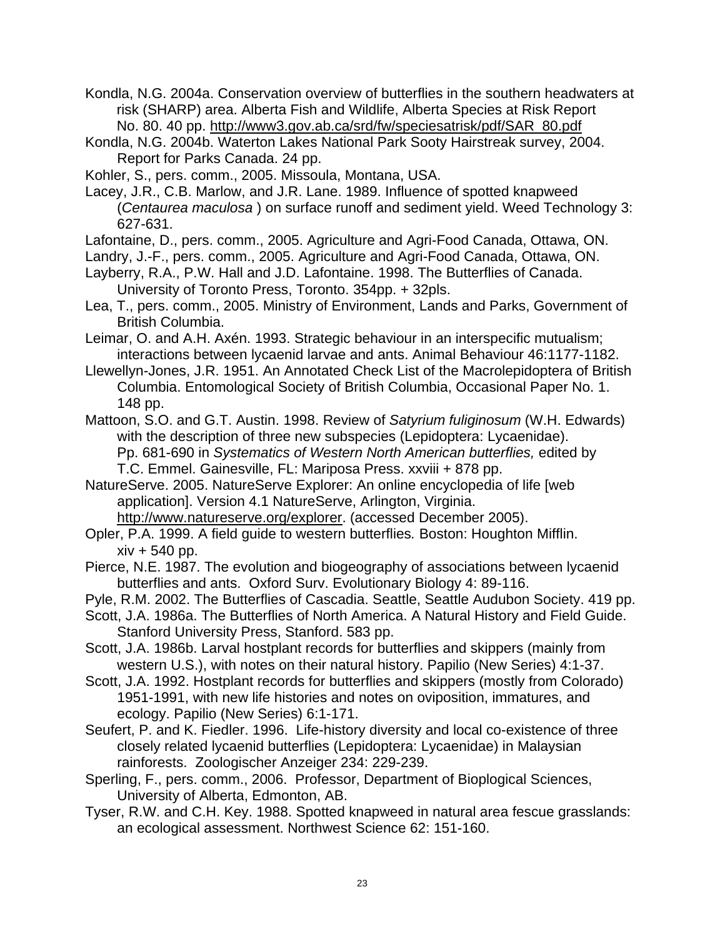Kondla, N.G. 2004a. Conservation overview of butterflies in the southern headwaters at risk (SHARP) area. Alberta Fish and Wildlife, Alberta Species at Risk Report No. 80. 40 pp. http://www3.gov.ab.ca/srd/fw/speciesatrisk/pdf/SAR\_80.pdf

Kondla, N.G. 2004b. Waterton Lakes National Park Sooty Hairstreak survey, 2004. Report for Parks Canada. 24 pp.

Kohler, S., pers. comm., 2005. Missoula, Montana, USA.

Lacey, J.R., C.B. Marlow, and J.R. Lane. 1989. Influence of spotted knapweed (*Centaurea maculosa* ) on surface runoff and sediment yield. Weed Technology 3: 627-631.

Lafontaine, D., pers. comm., 2005. Agriculture and Agri-Food Canada, Ottawa, ON.

Landry, J.-F., pers. comm., 2005. Agriculture and Agri-Food Canada, Ottawa, ON.

- Layberry, R.A., P.W. Hall and J.D. Lafontaine. 1998. The Butterflies of Canada. University of Toronto Press, Toronto. 354pp. + 32pls.
- Lea, T., pers. comm., 2005. Ministry of Environment, Lands and Parks, Government of British Columbia.
- Leimar, O. and A.H. Axén. 1993. Strategic behaviour in an interspecific mutualism; interactions between lycaenid larvae and ants. Animal Behaviour 46:1177-1182.
- Llewellyn-Jones, J.R. 1951. An Annotated Check List of the Macrolepidoptera of British Columbia. Entomological Society of British Columbia, Occasional Paper No. 1. 148 pp.
- Mattoon, S.O. and G.T. Austin. 1998. Review of *Satyrium fuliginosum* (W.H. Edwards) with the description of three new subspecies (Lepidoptera: Lycaenidae). Pp. 681-690 in *Systematics of Western North American butterflies,* edited by T.C. Emmel. Gainesville, FL: Mariposa Press. xxviii + 878 pp.
- NatureServe. 2005. NatureServe Explorer: An online encyclopedia of life [web application]. Version 4.1 NatureServe, Arlington, Virginia. http://www.natureserve.org/explorer. (accessed December 2005).

Opler, P.A. 1999. A field guide to western butterflies*.* Boston: Houghton Mifflin.  $xiv + 540$  pp.

- Pierce, N.E. 1987. The evolution and biogeography of associations between lycaenid butterflies and ants. Oxford Surv. Evolutionary Biology 4: 89-116.
- Pyle, R.M. 2002. The Butterflies of Cascadia. Seattle, Seattle Audubon Society. 419 pp.
- Scott, J.A. 1986a. The Butterflies of North America. A Natural History and Field Guide. Stanford University Press, Stanford. 583 pp.
- Scott, J.A. 1986b. Larval hostplant records for butterflies and skippers (mainly from western U.S.), with notes on their natural history. Papilio (New Series) 4:1-37.
- Scott, J.A. 1992. Hostplant records for butterflies and skippers (mostly from Colorado) 1951-1991, with new life histories and notes on oviposition, immatures, and ecology. Papilio (New Series) 6:1-171.
- Seufert, P. and K. Fiedler. 1996. Life-history diversity and local co-existence of three closely related lycaenid butterflies (Lepidoptera: Lycaenidae) in Malaysian rainforests. Zoologischer Anzeiger 234: 229-239.
- Sperling, F., pers. comm., 2006. Professor, Department of Bioplogical Sciences, University of Alberta, Edmonton, AB.
- Tyser, R.W. and C.H. Key. 1988. Spotted knapweed in natural area fescue grasslands: an ecological assessment. Northwest Science 62: 151-160.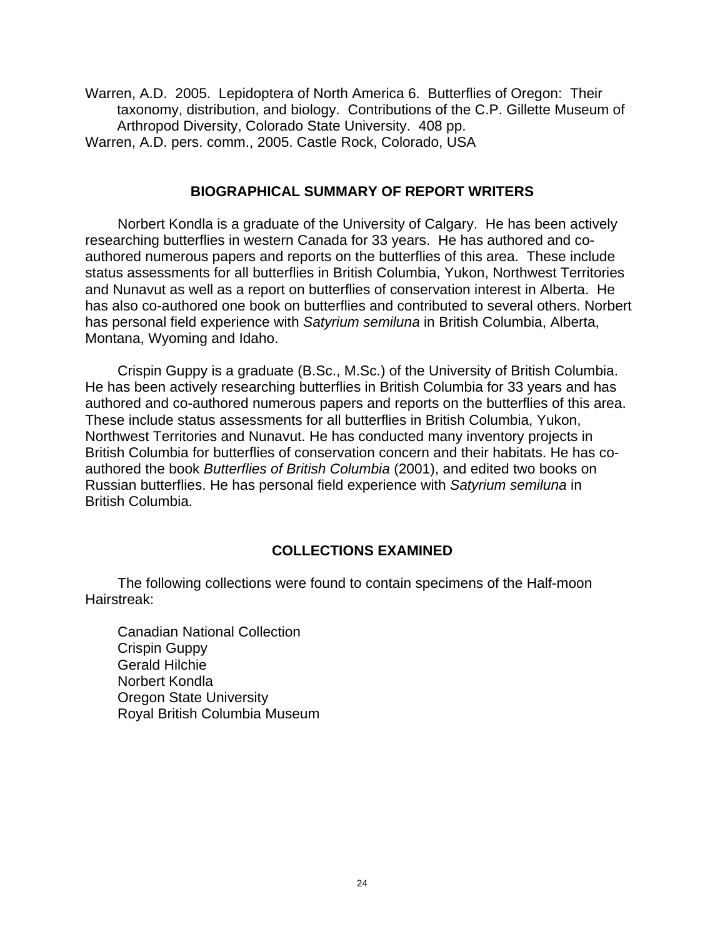Warren, A.D. 2005. Lepidoptera of North America 6. Butterflies of Oregon: Their taxonomy, distribution, and biology. Contributions of the C.P. Gillette Museum of Arthropod Diversity, Colorado State University. 408 pp. Warren, A.D. pers. comm., 2005. Castle Rock, Colorado, USA

#### **BIOGRAPHICAL SUMMARY OF REPORT WRITERS**

Norbert Kondla is a graduate of the University of Calgary. He has been actively researching butterflies in western Canada for 33 years. He has authored and coauthored numerous papers and reports on the butterflies of this area. These include status assessments for all butterflies in British Columbia, Yukon, Northwest Territories and Nunavut as well as a report on butterflies of conservation interest in Alberta. He has also co-authored one book on butterflies and contributed to several others. Norbert has personal field experience with *Satyrium semiluna* in British Columbia, Alberta, Montana, Wyoming and Idaho.

Crispin Guppy is a graduate (B.Sc., M.Sc.) of the University of British Columbia. He has been actively researching butterflies in British Columbia for 33 years and has authored and co-authored numerous papers and reports on the butterflies of this area. These include status assessments for all butterflies in British Columbia, Yukon, Northwest Territories and Nunavut. He has conducted many inventory projects in British Columbia for butterflies of conservation concern and their habitats. He has coauthored the book *Butterflies of British Columbia* (2001), and edited two books on Russian butterflies. He has personal field experience with *Satyrium semiluna* in British Columbia.

#### **COLLECTIONS EXAMINED**

The following collections were found to contain specimens of the Half-moon Hairstreak:

Canadian National Collection Crispin Guppy Gerald Hilchie Norbert Kondla Oregon State University Royal British Columbia Museum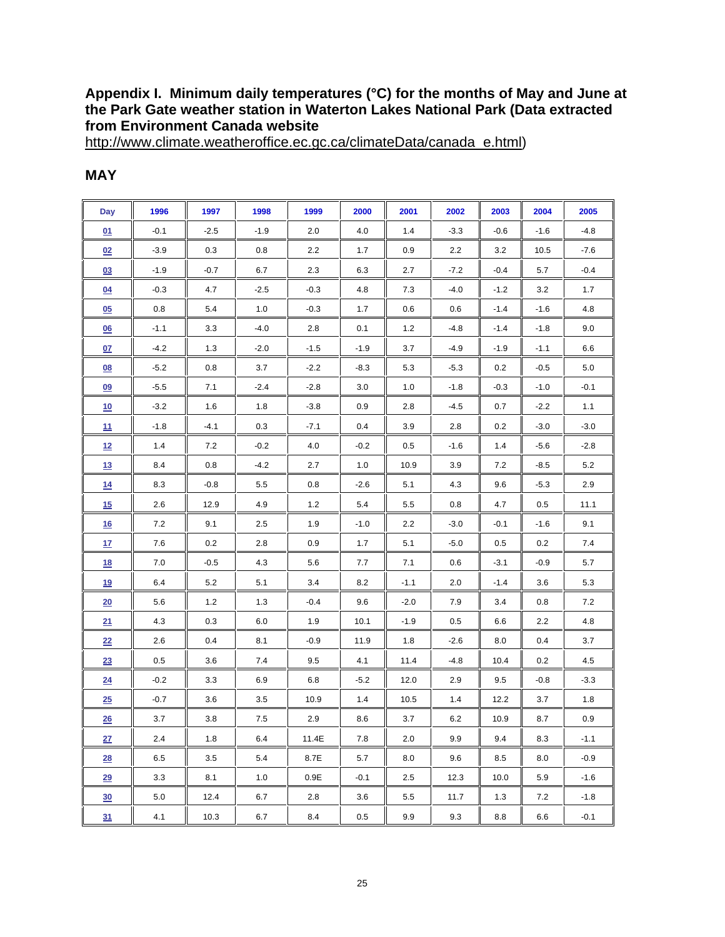#### **Appendix I. Minimum daily temperatures (°C) for the months of May and June at the Park Gate weather station in Waterton Lakes National Park (Data extracted from Environment Canada website**

http://www.climate.weatheroffice.ec.gc.ca/climateData/canada\_e.html)

| Day              | 1996    | 1997   | 1998   | 1999   | 2000    | 2001   | 2002   | 2003   | 2004   | 2005   |
|------------------|---------|--------|--------|--------|---------|--------|--------|--------|--------|--------|
| 01               | $-0.1$  | $-2.5$ | $-1.9$ | 2.0    | 4.0     | $1.4$  | $-3.3$ | $-0.6$ | $-1.6$ | $-4.8$ |
| 02               | $-3.9$  | 0.3    | 0.8    | 2.2    | 1.7     | 0.9    | 2.2    | 3.2    | 10.5   | $-7.6$ |
| 03               | $-1.9$  | $-0.7$ | 6.7    | 2.3    | 6.3     | 2.7    | $-7.2$ | $-0.4$ | 5.7    | $-0.4$ |
| <u>04</u>        | $-0.3$  | 4.7    | $-2.5$ | $-0.3$ | 4.8     | 7.3    | $-4.0$ | $-1.2$ | 3.2    | 1.7    |
| 05               | 0.8     | 5.4    | 1.0    | $-0.3$ | 1.7     | 0.6    | 0.6    | $-1.4$ | $-1.6$ | 4.8    |
| $\underline{06}$ | $-1.1$  | 3.3    | $-4.0$ | 2.8    | 0.1     | 1.2    | -4.8   | $-1.4$ | $-1.8$ | 9.0    |
| <u>07</u>        | $-4.2$  | 1.3    | $-2.0$ | $-1.5$ | $-1.9$  | 3.7    | -4.9   | $-1.9$ | $-1.1$ | 6.6    |
| 08               | $-5.2$  | 0.8    | 3.7    | $-2.2$ | $-8.3$  | 5.3    | $-5.3$ | 0.2    | $-0.5$ | 5.0    |
| 09               | $-5.5$  | 7.1    | $-2.4$ | $-2.8$ | 3.0     | 1.0    | $-1.8$ | $-0.3$ | $-1.0$ | $-0.1$ |
| 10               | $-3.2$  | 1.6    | 1.8    | $-3.8$ | 0.9     | 2.8    | $-4.5$ | 0.7    | $-2.2$ | 1.1    |
| <u>11</u>        | $-1.8$  | $-4.1$ | 0.3    | $-7.1$ | 0.4     | 3.9    | 2.8    | 0.2    | $-3.0$ | $-3.0$ |
| 12               | 1.4     | 7.2    | $-0.2$ | 4.0    | $-0.2$  | 0.5    | $-1.6$ | 1.4    | -5.6   | $-2.8$ |
| 13               | 8.4     | 0.8    | $-4.2$ | 2.7    | 1.0     | 10.9   | 3.9    | 7.2    | $-8.5$ | 5.2    |
| 14               | 8.3     | $-0.8$ | 5.5    | 0.8    | $-2.6$  | 5.1    | 4.3    | 9.6    | $-5.3$ | 2.9    |
| 15               | 2.6     | 12.9   | 4.9    | 1.2    | 5.4     | 5.5    | 0.8    | 4.7    | 0.5    | 11.1   |
| 16               | 7.2     | 9.1    | 2.5    | 1.9    | $-1.0$  | 2.2    | $-3.0$ | $-0.1$ | $-1.6$ | 9.1    |
| 17               | 7.6     | 0.2    | 2.8    | 0.9    | 1.7     | 5.1    | $-5.0$ | 0.5    | 0.2    | 7.4    |
| <u>18</u>        | 7.0     | $-0.5$ | 4.3    | 5.6    | 7.7     | 7.1    | 0.6    | $-3.1$ | $-0.9$ | 5.7    |
| <u>19</u>        | 6.4     | 5.2    | 5.1    | 3.4    | 8.2     | $-1.1$ | 2.0    | $-1.4$ | 3.6    | 5.3    |
| 20               | 5.6     | 1.2    | 1.3    | $-0.4$ | 9.6     | $-2.0$ | 7.9    | 3.4    | 0.8    | 7.2    |
| 21               | 4.3     | 0.3    | 6.0    | 1.9    | 10.1    | $-1.9$ | 0.5    | 6.6    | 2.2    | 4.8    |
| 22               | 2.6     | 0.4    | 8.1    | $-0.9$ | 11.9    | 1.8    | $-2.6$ | 8.0    | 0.4    | 3.7    |
| 23               | $0.5\,$ | 3.6    | 7.4    | 9.5    | 4.1     | 11.4   | -4.8   | 10.4   | 0.2    | 4.5    |
| 24               | $-0.2$  | 3.3    | 6.9    | 6.8    | $-5.2$  | 12.0   | 2.9    | 9.5    | $-0.8$ | $-3.3$ |
| 25               | $-0.7$  | 3.6    | 3.5    | 10.9   | $1.4$   | 10.5   | 1.4    | 12.2   | 3.7    | 1.8    |
| 26               | 3.7     | 3.8    | 7.5    | 2.9    | 8.6     | 3.7    | 6.2    | 10.9   | 8.7    | 0.9    |
| 27               | $2.4\,$ | 1.8    | 6.4    | 11.4E  | 7.8     | 2.0    | 9.9    | 9.4    | 8.3    | $-1.1$ |
| 28               | 6.5     | 3.5    | 5.4    | 8.7E   | 5.7     | 8.0    | 9.6    | 8.5    | 8.0    | $-0.9$ |
| 29               | 3.3     | 8.1    | 1.0    | 0.9E   | $-0.1$  | 2.5    | 12.3   | 10.0   | 5.9    | $-1.6$ |
| 30               | 5.0     | 12.4   | 6.7    | 2.8    | $3.6\,$ | 5.5    | 11.7   | 1.3    | 7.2    | $-1.8$ |
| 31               | 4.1     | 10.3   | 6.7    | 8.4    | $0.5\,$ | 9.9    | 9.3    | 8.8    | 6.6    | $-0.1$ |

#### **MAY**